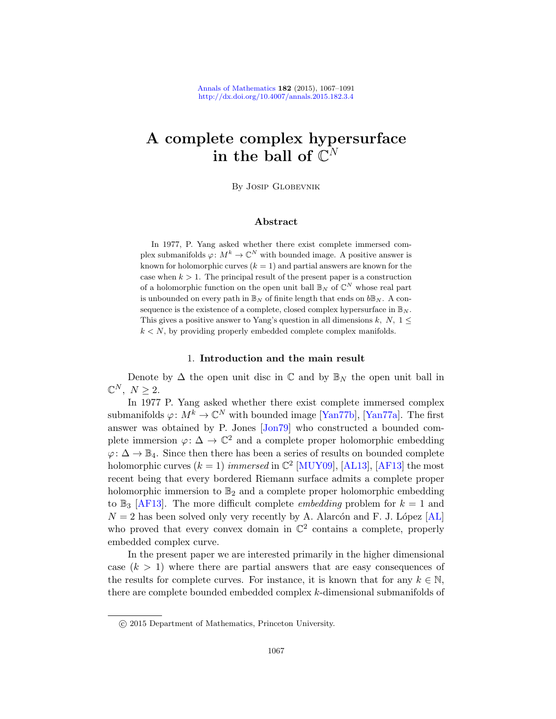# A complete complex hypersurface in the ball of  $\mathbb{C}^N$

By Josip Globevnik

#### Abstract

In 1977, P. Yang asked whether there exist complete immersed complex submanifolds  $\varphi: M^k \to \mathbb{C}^N$  with bounded image. A positive answer is known for holomorphic curves  $(k = 1)$  and partial answers are known for the case when  $k > 1$ . The principal result of the present paper is a construction of a holomorphic function on the open unit ball  $\mathbb{B}_N$  of  $\mathbb{C}^N$  whose real part is unbounded on every path in  $\mathbb{B}_N$  of finite length that ends on  $b\mathbb{B}_N$ . A consequence is the existence of a complete, closed complex hypersurface in  $\mathbb{B}_N$ . This gives a positive answer to Yang's question in all dimensions k, N,  $1 \leq$  $k \leq N$ , by providing [properly em](#page-24-0)[bedded com](#page-24-1)plete complex manifolds.

#### 1. Introduction and the main result

Denote by  $\Delta$  t[he open u](#page-24-2)[nit disc](#page-24-3) [in](#page-23-0)  $\mathbb C$  and by  $\mathbb B_N$  the open unit ball in  $\mathbb{C}^N$ ,  $N \geq 2$ .

In 1977 P. Yang asked whether there exist complete immersed complex submanifolds  $\varphi: M^k \to \mathbb{C}^N$  with bounded image [Yan77b], [Yan77a]. The first answer was obtained by P. Jones [Jon79] who constructed a bounded complete immersion  $\varphi: \Delta \to \mathbb{C}^2$  and a complete pro[per h](#page-24-4)olomorphic embedding  $\varphi: \Delta \to \mathbb{B}_4$ . Since then there has been a series of results on bounded complete holomorphic curves  $(k = 1)$  immersed in  $\mathbb{C}^2$  [MUY09], [AL13], [AF13] the most recent being that every bordered Riemann surface admits a complete proper holomorphic immersion to  $\mathbb{B}_2$  and a complete proper holomorphic embedding to  $\mathbb{B}_3$  [AF13]. The more difficult complete *embedding* problem for  $k = 1$  and  $N = 2$  has been solved only very recently by A. Alarcón and F. J. López [AL] who proved that every convex domain in  $\mathbb{C}^2$  contains a complete, properly embedded complex curve.

In the present paper we are interested primarily in the higher dimensional case  $(k > 1)$  where there are partial answers that are easy consequences of the results for complete curves. For instance, it is known that for any  $k \in \mathbb{N}$ , there are complete bounded embedded complex k-dimensional submanifolds of

c 2015 Department of Mathematics, Princeton University.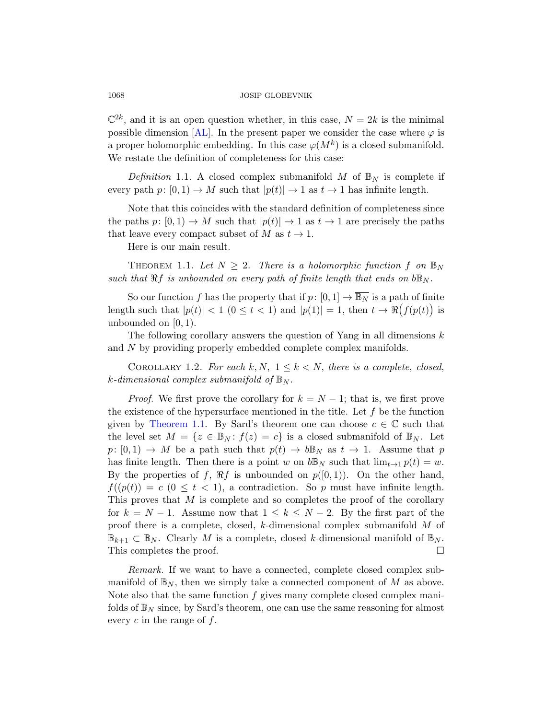$\mathbb{C}^{2k}$ , and it is an open question whether, in this case,  $N=2k$  is the minimal possible dimension [AL]. In the present paper we consider the case where  $\varphi$  is a proper holomorphic embedding. In this case  $\varphi(M^k)$  is a closed submanifold. We restate the definition of completeness for this case:

<span id="page-1-0"></span>Definition 1.1. A closed complex submanifold M of  $\mathbb{B}_N$  is complete if every path  $p: [0, 1) \to M$  such that  $|p(t)| \to 1$  as  $t \to 1$  has infinite length.

Note that this coincides with the standard definition of completeness since the paths  $p: [0, 1) \to M$  such that  $|p(t)| \to 1$  as  $t \to 1$  are precisely the paths that leave every compact subset of M as  $t \to 1$ .

Here is our main result.

THEOREM 1.1. Let  $N \geq 2$ . There is a holomorphic function f on  $\mathbb{B}_N$ such that  $\Re f$  is unbounded on every path of finite length that ends on  $b\mathbb{B}_N$ .

<span id="page-1-1"></span>So our function f has the property that if  $p: [0, 1] \to \overline{\mathbb{B}_N}$  is a path of finite length such that  $|p(t)| < 1$   $(0 \le t < 1)$  and  $|p(1)| = 1$ , then  $t \to \Re(f(p(t)))$  is unbounded on  $[0, 1)$ .

The following corollary answers the question of Yang in all dimensions  $k$ and N by providing properly embedded complete complex manifolds.

COROLLARY 1.2. For each k, N,  $1 \leq k \leq N$ , there is a complete, closed, k-dimensional complex submanifold of  $\mathbb{B}_N$ .

*Proof.* We first prove the corollary for  $k = N - 1$ ; that is, we first prove the existence of the hypersurface mentioned in the title. Let  $f$  be the function given by Theorem 1.1. By Sard's theorem one can choose  $c \in \mathbb{C}$  such that the level set  $M = \{z \in \mathbb{B}_N : f(z) = c\}$  is a closed submanifold of  $\mathbb{B}_N$ . Let  $p: [0, 1) \to M$  be a path such that  $p(t) \to b\mathbb{B}_N$  as  $t \to 1$ . Assume that p has finite length. Then there is a point w on  $b\mathbb{B}_N$  such that  $\lim_{t\to 1} p(t) = w$ . By the properties of f,  $\Re f$  is unbounded on  $p([0, 1))$ . On the other hand,  $f((p(t)) = c \ (0 \leq t < 1)$ , a contradiction. So p must have infinite length. This proves that M is complete and so completes the proof of the corollary for  $k = N - 1$ . Assume now that  $1 \leq k \leq N - 2$ . By the first part of the proof there is a complete, closed, k-dimensional complex submanifold M of  $\mathbb{B}_{k+1} \subset \mathbb{B}_N$ . Clearly M is a complete, closed k-dimensional manifold of  $\mathbb{B}_N$ . This completes the proof.

Remark. If we want to have a connected, complete closed complex submanifold of  $\mathbb{B}_N$ , then we simply take a connected component of M as above. Note also that the same function  $f$  gives many complete closed complex manifolds of  $\mathbb{B}_N$  since, by Sard's theorem, one can use the same reasoning for almost every  $c$  in the range of  $f$ .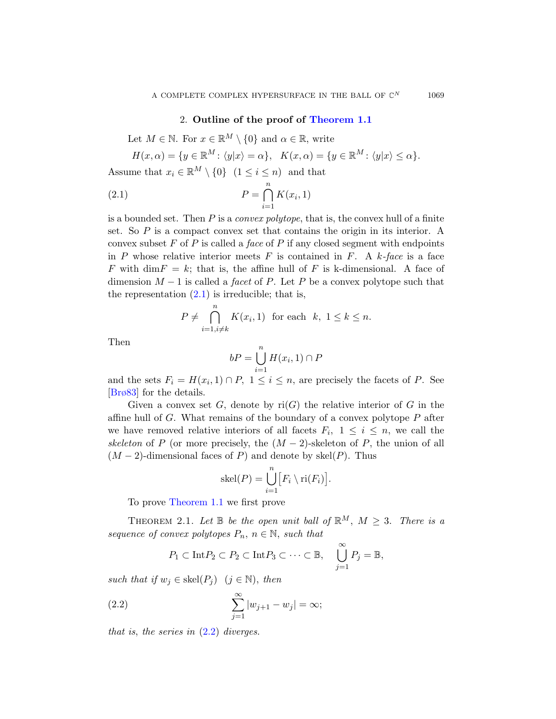# 2. Outline of the proof of Theorem 1.1

Let  $M \in \mathbb{N}$ . For  $x \in \mathbb{R}^M \setminus \{0\}$  and  $\alpha \in \mathbb{R}$ , write

$$
H(x, \alpha) = \{ y \in \mathbb{R}^M \colon \langle y | x \rangle = \alpha \}, \quad K(x, \alpha) = \{ y \in \mathbb{R}^M \colon \langle y | x \rangle \le \alpha \}.
$$

Assume that  $x_i \in \mathbb{R}^M \setminus \{0\}$   $(1 \leq i \leq n)$  and that

$$
(2.1) \t\t P = \bigcap_{i=1}^{n} K(x_i, 1)
$$

is a bounded set. Then  $P$  is a *convex polytope*, that is, the convex hull of a finite set. So  $P$  is a compact convex set that contains the origin in its interior. A convex subset  $F$  of  $P$  is called a face of  $P$  if any closed segment with endpoints in P whose relative interior meets F is contained in F. A k-face is a face F with dim $F = k$ ; that is, the affine hull of F is k-dimensional. A face of dimension  $M-1$  is called a *facet* of P. Let P be a convex polytope such that the representation  $(2.1)$  is irreducible; that is,

$$
P \neq \bigcap_{i=1, i \neq k}^{n} K(x_i, 1) \text{ for each } k, 1 \leq k \leq n.
$$

Then

$$
bP = \bigcup_{i=1}^{n} H(x_i, 1) \cap P
$$

and the sets  $F_i = H(x_i, 1) \cap P$ ,  $1 \leq i \leq n$ , are precisely the facets of P. See [Brø83] for the details.

<span id="page-2-0"></span>Given a convex set G, denote by  $\text{ri}(G)$  the relative interior of G in the [affin](#page-1-0)e hull of  $G$ . What remains of the boundary of a convex polytope  $P$  after we have removed relative interiors of all facets  $F_i, 1 \leq i \leq n$ , we call the skeleton of P (or more precisely, the  $(M-2)$ -skeleton of P, the union of all  $(M-2)$ -dimensional faces of P) and denote by skel $(P)$ . Thus

$$
skel(P) = \bigcup_{i=1}^{n} [F_i \setminus ri(F_i)].
$$

<span id="page-2-1"></span>To prove Theorem 1.1 we first prove

THEOREM 2.1. Let  $\mathbb B$  be the open unit ball of  $\mathbb R^M$ ,  $M \geq 3$ . There is a sequence of convex polytopes  $P_n$ ,  $n \in \mathbb{N}$ , such that

$$
P_1 \subset \text{Int} P_2 \subset P_2 \subset \text{Int} P_3 \subset \cdots \subset \mathbb{B}, \quad \bigcup_{j=1}^{\infty} P_j = \mathbb{B},
$$

such that if  $w_j \in \text{skel}(P_j)$   $(j \in \mathbb{N})$ , then

(2.2) 
$$
\sum_{j=1}^{\infty} |w_{j+1} - w_j| = \infty;
$$

that is, the series in  $(2.2)$  diverges.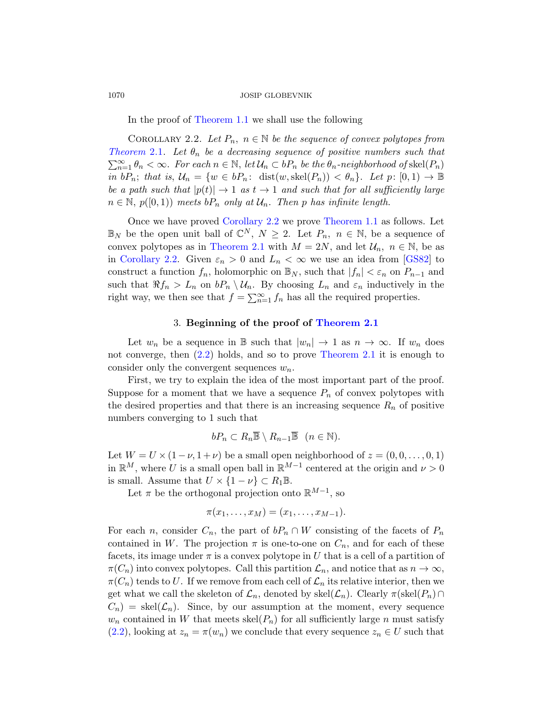In the proof of Theorem 1.1 we shall use the following

COROLLARY 2.2. Let  $P_n$ ,  $n \in \mathbb{N}$  be the sequence of convex polytopes from Theorem 2.1. Let  $\theta_n$  be a decreasing sequence of positive numbers such that  $\sum_{n=1}^{\infty} \theta_n < \infty$  $\sum_{n=1}^{\infty} \theta_n < \infty$  $\sum_{n=1}^{\infty} \theta_n < \infty$ . For each  $n \in \mathbb{N}$ , let  $\mathcal{U}_n \subset bP_n$  be the  $\theta_n$ -neighborhood of skel $(P_n)$ in  $bP_n$ ; that is,  $\mathcal{U}_n = \{w \in bP_n: \text{ dist}(w, \text{skel}(P_n)) < \theta_n\}.$  $\mathcal{U}_n = \{w \in bP_n: \text{ dist}(w, \text{skel}(P_n)) < \theta_n\}.$  $\mathcal{U}_n = \{w \in bP_n: \text{ dist}(w, \text{skel}(P_n)) < \theta_n\}.$  Let  $p: [0, 1) \to \mathbb{B}$ be a path such that  $|p(t)| \rightarrow 1$  as  $t \rightarrow 1$  and such that for all sufficiently large  $n \in \mathbb{N}, p([0,1))$  meets  $bP_n$  only at  $\mathcal{U}_n$ . Then p has infinite length.

<span id="page-3-1"></span>Once we have proved Corollary 2.2 we prove Theorem 1.1 as follows. Let  $\mathbb{B}_N$  be the open unit ball of  $\mathbb{C}^N$ ,  $N \geq 2$ . Let  $P_n$ ,  $n \in \mathbb{N}$ , be a sequence of convex polytopes as in [Theorem 2.1](#page-2-0) with  $M = 2N$ , and let  $\mathcal{U}_n$ ,  $n \in \mathbb{N}$ , be as in Corollary 2.2. Given  $\varepsilon_n > 0$  and  $L_n < \infty$  we use an idea from [GS82] to [c](#page-2-1)onstruct a function  $f_n$ , [holomorphic on](#page-2-0)  $\mathbb{B}_N$ , such that  $|f_n| < \varepsilon_n$  on  $P_{n-1}$  and such that  $\Re f_n > L_n$  on  $bP_n \setminus \mathcal{U}_n$ . By choosing  $L_n$  and  $\varepsilon_n$  inductively in the right way, we then see that  $f = \sum_{n=1}^{\infty} f_n$  has all the required properties.

#### 3. Beginning of the proof of Theorem 2.1

Let  $w_n$  be a sequence in B such that  $|w_n| \to 1$  as  $n \to \infty$ . If  $w_n$  does not converge, then (2.2) holds, and so to prove Theorem 2.1 it is enough to consider only the convergent sequences  $w_n$ .

First, we try to explain the idea of the most important part of the proof. Suppose for a moment that we have a sequence  $P_n$  of convex polytopes with the desired properties and that there is an increasing sequence  $R_n$  of positive numbers converging to 1 such that

$$
bP_n \subset R_n \overline{\mathbb{B}} \setminus R_{n-1} \overline{\mathbb{B}} \quad (n \in \mathbb{N}).
$$

Let  $W = U \times (1 - \nu, 1 + \nu)$  be a small open neighborhood of  $z = (0, 0, \ldots, 0, 1)$ in  $\mathbb{R}^M$ , where U is a small open ball in  $\mathbb{R}^{M-1}$  centered at the origin and  $\nu > 0$ is small. Assume that  $U \times \{1 - \nu\} \subset R_1 \mathbb{B}$ .

Let  $\pi$  be the orthogonal projection onto  $\mathbb{R}^{M-1}$ , so

$$
\pi(x_1,\ldots,x_M)=(x_1,\ldots,x_{M-1}).
$$

For each n, consider  $C_n$ , the part of  $bP_n \cap W$  consisting of the facets of  $P_n$ contained in W. The projection  $\pi$  is one-to-one on  $C_n$ , and for each of these facets, its image under  $\pi$  is a convex polytope in U that is a cell of a partition of  $\pi(C_n)$  into convex polytopes. Call this partition  $\mathcal{L}_n$ , and notice that as  $n \to \infty$ ,  $\pi(C_n)$  tends to U. If we remove from each cell of  $\mathcal{L}_n$  its relative interior, then we get what we call the skeleton of  $\mathcal{L}_n$ , denoted by skel $(\mathcal{L}_n)$ . Clearly  $\pi(\text{skel}(P_n) \cap$  $C_n$  = skel $(\mathcal{L}_n)$ . Since, by our assumption at the moment, every sequence  $w_n$  contained in W that meets skel( $P_n$ ) for all sufficiently large n must satisfy  $(2.2)$ , looking at  $z_n = \pi(w_n)$  we conclude that every sequence  $z_n \in U$  such that

<span id="page-3-0"></span>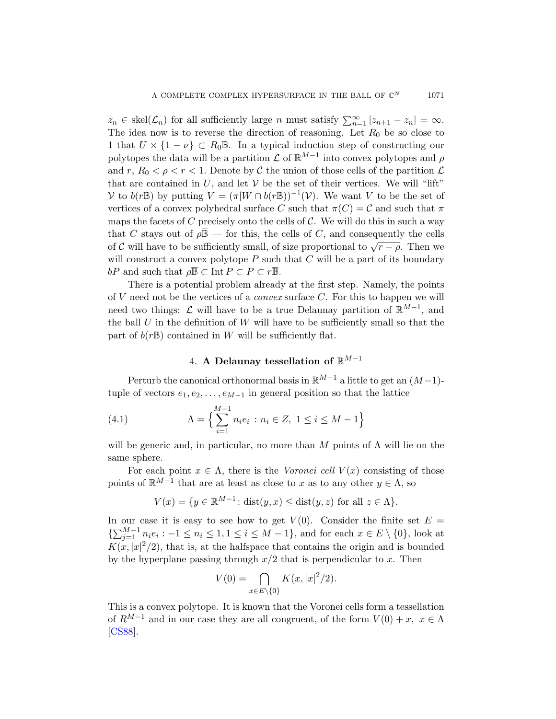$z_n \in \text{skel}(\mathcal{L}_n)$  for all sufficiently large n must satisfy  $\sum_{n=1}^{\infty} |z_{n+1} - z_n| = \infty$ . The idea now is to reverse the direction of reasoning. Let  $R_0$  be so close to 1 that  $U \times \{1 - \nu\} \subset R_0 \mathbb{B}$ . In a typical induction step of constructing our polytopes the data will be a partition  $\mathcal L$  of  $\mathbb R^{M-1}$  into convex polytopes and  $\rho$ and r,  $R_0 < \rho < r < 1$ . Denote by C the union of those cells of the partition L that are contained in  $U$ , and let  $V$  be the set of their vertices. We will "lift" V to  $b(r\mathbb{B})$  by putting  $V = (\pi|W \cap b(r\mathbb{B}))^{-1}(V)$ . We want V to be the set of vertices of a convex polyhedral surface C such that  $\pi(C) = C$  and such that  $\pi$ maps the facets of C precisely onto the cells of  $\mathcal C$ . We will do this in such a way that C stays out of  $\rho \overline{B}$  — for this, the cells of C, and consequently the cells of C will have to be sufficiently small, of size proportional to  $\sqrt{r-\rho}$ . Then we will construct a convex polytope  $P$  such that  $C$  will be a part of its boundary bP and such that  $\rho \overline{\mathbb{B}} \subset \text{Int } P \subset P \subset r \overline{\mathbb{B}}$ .

<span id="page-4-0"></span>There is a potential problem already at the first step. Namely, the points of V need not be the vertices of a *convex* surface  $C$ . For this to happen we will need two things:  $\mathcal L$  will have to be a true Delaunay partition of  $\mathbb R^{M-1}$ , and the ball  $U$  in the definition of  $W$  will have to be sufficiently small so that the part of  $b(r\mathbb{B})$  contained in W will be sufficiently flat.

# 4. A Delaunay tessellation of  $\mathbb{R}^{M-1}$

<span id="page-4-1"></span>Perturb the canonical orthonormal basis in  $\mathbb{R}^{M-1}$  a little to get an  $(M-1)$ tuple of vectors  $e_1, e_2, \ldots, e_{M-1}$  in general position so that the lattice

(4.1) 
$$
\Lambda = \left\{ \sum_{i=1}^{M-1} n_i e_i : n_i \in Z, 1 \le i \le M - 1 \right\}
$$

will be generic and, in particular, no more than M points of  $\Lambda$  will lie on the same sphere.

For each point  $x \in \Lambda$ , there is the Voronei cell  $V(x)$  consisting of those points of  $\mathbb{R}^{M-1}$  that are at least as close to x as to any other  $y \in \Lambda$ , so

$$
V(x) = \{ y \in \mathbb{R}^{M-1} \colon \text{dist}(y, x) \le \text{dist}(y, z) \text{ for all } z \in \Lambda \}.
$$

In our case it is easy to see how to get  $V(0)$ . Consider the finite set  $E =$  $\{\sum_{j=1}^{M-1} n_i e_i : -1 \leq n_i \leq 1, 1 \leq i \leq M-1\}$ , and for each  $x \in E \setminus \{0\}$ , look at  $K(x, |x|^2/2)$ , that is, at the halfspace that contains the origin and is bounded by the hyperplane passing through  $x/2$  that is perpendicular to x. Then

$$
V(0) = \bigcap_{x \in E \setminus \{0\}} K(x, |x|^2/2).
$$

This is a convex polytope. It is known that the Voronei cells form a tessellation of  $R^{M-1}$  and in our case they are all congruent, of the form  $V(0) + x, x \in \Lambda$ [CS88].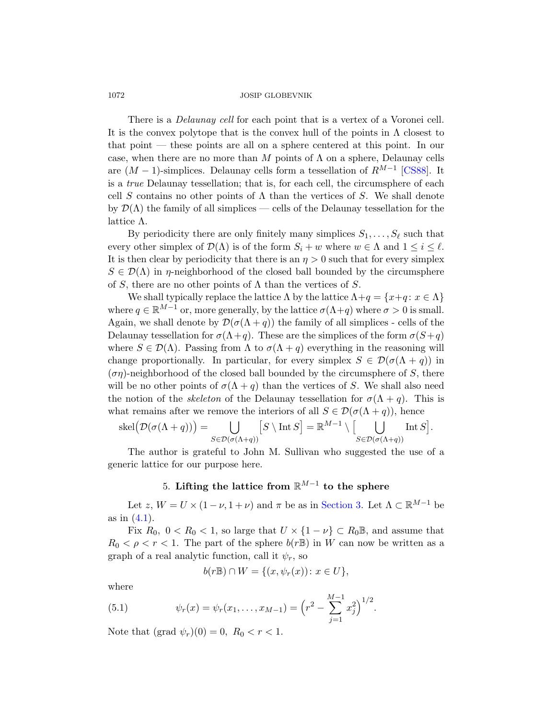There is a *Delaunay cell* for each point that is a vertex of a Voronei cell. It is the convex polytope that is the convex hull of the points in  $\Lambda$  closest to that point — these points are all on a sphere centered at this point. In our case, when there are no more than M points of  $\Lambda$  on a sphere, Delaunay cells are  $(M-1)$ -simplices. Delaunay cells form a tessellation of  $R^{M-1}$  [CS88]. It is a true Delaunay tessellation; that is, for each cell, the circumsphere of each cell S contains no other points of  $\Lambda$  than the vertices of S. We shall denote by  $\mathcal{D}(\Lambda)$  the family of all simplices — cells of the Delaunay tessellation for the lattice Λ.

By periodicity there are only finitely many simplices  $S_1, \ldots, S_\ell$  such that every other simplex of  $\mathcal{D}(\Lambda)$  is of the form  $S_i + w$  where  $w \in \Lambda$  and  $1 \leq i \leq \ell$ . It is then clear by periodicity that there is an  $\eta > 0$  such that for every simplex  $S \in \mathcal{D}(\Lambda)$  in  $\eta$ -neighborhood of the closed ball bounded by the circumsphere of S, there are no other points of  $\Lambda$  than the vertices of S.

We shall typically replace the lattice  $\Lambda$  by the lattice  $\Lambda + q = \{x + q : x \in \Lambda\}$ where  $q \in \mathbb{R}^{M-1}$  or, more generally, by the lattice  $\sigma(\Lambda + q)$  where  $\sigma > 0$  is small. Again, we shall denote by  $\mathcal{D}(\sigma(\Lambda + q))$  the family of all simplices - cells of the Delaunay tessellation for  $\sigma(\Lambda + q)$ . These are the simplices of the form  $\sigma(S+q)$ where  $S \in \mathcal{D}(\Lambda)$ . Passing from  $\Lambda$  to  $\sigma(\Lambda + q)$  everything in the reasoning will change proportionally. In particular, for every simplex  $S \in \mathcal{D}(\sigma(\Lambda + q))$  in  $(\sigma \eta)$ -neighborhood of the closed ball bounded by the circumsphere of S, there will be no other points of  $\sigma(\Lambda + q)$  than the vertices of S. We shall also need the notion of the *skeleton* of the Delaunay tessellation for  $\sigma(\Lambda + q)$ . This is what remains after we remove the interiors of all  $S \in \mathcal{D}(\sigma(\Lambda + q))$ , hence

$$
skel(\mathcal{D}(\sigma(\Lambda + q))) = \bigcup_{S \in \mathcal{D}(\sigma(\Lambda + q))} [S \setminus \text{Int } S] = \mathbb{R}^{M-1} \setminus \big[\bigcup_{S \in \mathcal{D}(\sigma(\Lambda + q))} \text{Int } S\big].
$$

<span id="page-5-1"></span>The author is grateful to John M. Sullivan who suggested the use of a generic lattice for our purpose here.

# 5. Lifting the lattice from  $\mathbb{R}^{M-1}$  to the sphere

Let z,  $W = U \times (1 - \nu, 1 + \nu)$  and  $\pi$  be as in Section 3. Let  $\Lambda \subset \mathbb{R}^{M-1}$  be as in (4.1).

<span id="page-5-0"></span>Fix  $R_0$ ,  $0 < R_0 < 1$ , so large that  $U \times \{1 - \nu\} \subset R_0 \mathbb{B}$ , and assume that  $R_0 < \rho < r < 1$ . The part of the sphere  $b(r \mathbb{B})$  in W can now be written as a graph of a real analytic function, call it  $\psi_r$ , so

$$
b(r\mathbb{B}) \cap W = \{(x, \psi_r(x)) \colon x \in U\},\
$$

where

(5.1) 
$$
\psi_r(x) = \psi_r(x_1, \dots, x_{M-1}) = \left(r^2 - \sum_{j=1}^{M-1} x_j^2\right)^{1/2}.
$$

Note that  $(\text{grad } \psi_r)(0) = 0, R_0 < r < 1.$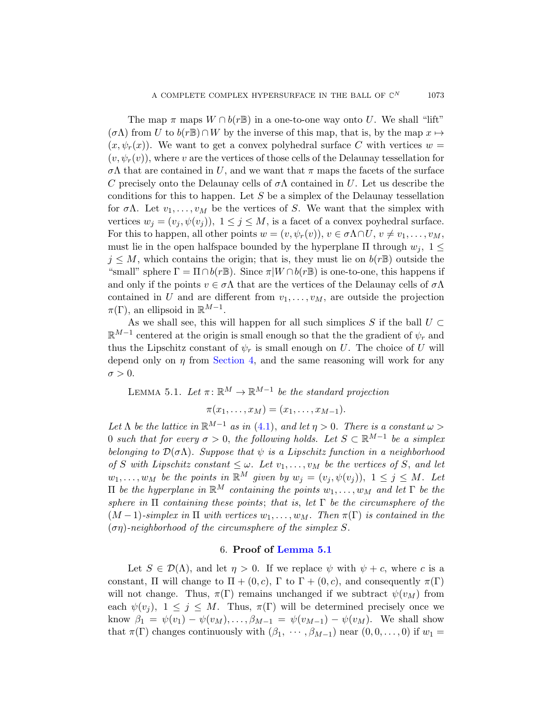The map  $\pi$  maps  $W \cap b(r\mathbb{B})$  in a one-to-one way onto U. We shall "lift"  $(\sigma \Lambda)$  from U to  $b(r\mathbb{B}) \cap W$  by the inverse of this map, that is, by the map  $x \mapsto$  $(x, \psi_r(x))$ . We want to get a convex polyhedral surface C with vertices  $w =$  $(v, \psi_r(v))$ , where v are the vertices of those cells of the Delaunay tessellation for σΛ that are contained in U, and we want that π maps the facets of the surface C precisely onto the Delaunay cells of  $\sigma \Lambda$  contained in U. Let us describe the conditions for this to happen. Let  $S$  be a simplex of the Delaunay tessellation for  $\sigma \Lambda$ . Let  $v_1, \ldots, v_M$  be the vertices of S. We want that the simplex with vertices  $w_j = (v_j, \psi(v_j)), 1 \leq j \leq M$ , is a facet of a convex poyhedral surface. For this to happen, all other points  $w = (v, \psi_r(v)), v \in \sigma \Lambda \cap U, v \neq v_1, \ldots, v_M$ , must lie in the open halfspace bounded by the hyperplane  $\Pi$  through  $w_i$ ,  $1 \leq$  $j \leq M$ , which contains the origin; that is, they must lie on  $b(r\mathbb{B})$  outside the "small" sphere  $\Gamma = \Pi \cap b(r \mathbb{B})$ . Since  $\pi | W \cap b(r \mathbb{B})$  is one-to-one, this happens if [and only if](#page-4-0) the points  $v \in \sigma \Lambda$  that are the vertices of the Delaunay cells of  $\sigma \Lambda$ contained in U and are different from  $v_1, \ldots, v_M$ , are outside the projection  $\pi(\Gamma)$ , an ellipsoid in  $\mathbb{R}^{M-1}$ .

<span id="page-6-0"></span>As we shall see, this will happen for all such simplices S if the ball  $U \subset$  $\mathbb{R}^{M-1}$  centered at the origin is small enough so that the the gradient of  $\psi_r$  and thus the Li[psch](#page-4-1)itz constant of  $\psi_r$  is small enough on U. The choice of U will depend only on  $\eta$  from Section 4, and the same reasoning will work for any  $\sigma > 0$ .

LEMMA 5.1. Let  $\pi: \mathbb{R}^M \to \mathbb{R}^{M-1}$  be the standard projection  $\pi(x_1, \ldots, x_M) = (x_1, \ldots, x_{M-1}).$ 

Let  $\Lambda$  be the lattice in  $\mathbb{R}^{M-1}$  as in (4.1), and let  $\eta > 0$ . There is a constant  $\omega >$ 0 such that for every  $\sigma > 0$ , the following holds. Let  $S \subset \mathbb{R}^{M-1}$  be a simplex belonging to  $\mathcal{D}(\sigma \Lambda)$ . Suppose that  $\psi$  is a Lipschitz function in a neighborhood of S with Lipsc[hitz constant](#page-6-0)  $\leq \omega$ . Let  $v_1, \ldots, v_M$  be the vertices of S, and let  $w_1, \ldots, w_M$  be the points in  $\mathbb{R}^M$  given by  $w_j = (v_j, \psi(v_j)), 1 \leq j \leq M$ . Let  $\Pi$  be the hyperplane in  $\mathbb{R}^M$  containing the points  $w_1, \ldots, w_M$  and let Γ be the sphere in  $\Pi$  containing these points; that is, let  $\Gamma$  be the circumsphere of the  $(M-1)$ -simplex in  $\Pi$  with vertices  $w_1, \ldots, w_M$ . Then  $\pi(\Gamma)$  is contained in the  $(\sigma \eta)$ -neighborhood of the circumsphere of the simplex S.

# 6. Proof of Lemma 5.1

Let  $S \in \mathcal{D}(\Lambda)$ , and let  $\eta > 0$ . If we replace  $\psi$  with  $\psi + c$ , where c is a constant, Π will change to  $\Pi + (0, c)$ , Γ to  $\Gamma + (0, c)$ , and consequently  $\pi(\Gamma)$ will not change. Thus,  $\pi(\Gamma)$  remains unchanged if we subtract  $\psi(v_M)$  from each  $\psi(v_i)$ ,  $1 \leq j \leq M$ . Thus,  $\pi(\Gamma)$  will be determined precisely once we know  $\beta_1 = \psi(v_1) - \psi(v_M), \ldots, \beta_{M-1} = \psi(v_{M-1}) - \psi(v_M)$ . We shall show that  $\pi(\Gamma)$  changes continuously with  $(\beta_1, \cdots, \beta_{M-1})$  near  $(0, 0, \ldots, 0)$  if  $w_1 =$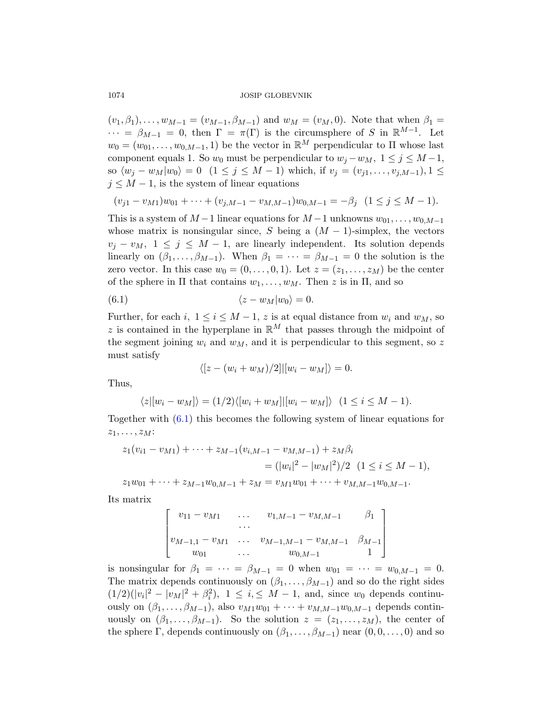$(v_1, \beta_1), \ldots, w_{M-1} = (v_{M-1}, \beta_{M-1})$  and  $w_M = (v_M, 0)$ . Note that when  $\beta_1 =$  $\cdots = \beta_{M-1} = 0$ , then  $\Gamma = \pi(\Gamma)$  is the circumsphere of S in  $\mathbb{R}^{M-1}$ . Let  $w_0 = (w_{01}, \ldots, w_{0,M-1}, 1)$  be the vector in  $\mathbb{R}^M$  perpendicular to  $\Pi$  whose last component equals 1. So  $w_0$  must be perpendicular to  $w_j - w_M$ ,  $1 \le j \le M-1$ , so  $\langle w_j - w_M | w_0 \rangle = 0$   $(1 \le j \le M - 1)$  which, if  $v_j = (v_{j1}, \ldots, v_{j,M-1}), 1 \le j \le M - 1$  $j \leq M - 1$ , is the system of linear equations

$$
(v_{j1} - v_{M1})w_{01} + \cdots + (v_{j,M-1} - v_{M,M-1})w_{0,M-1} = -\beta_j \quad (1 \le j \le M-1).
$$

This is a system of  $M-1$  linear equations for  $M-1$  unknowns  $w_{01}, \ldots, w_{0,M-1}$ whose matrix is nonsingular since, S being a  $(M - 1)$ -simplex, the vectors  $v_j - v_M$ ,  $1 \leq j \leq M - 1$ , are linearly independent. Its solution depends linearly on  $(\beta_1, \ldots, \beta_{M-1})$ . When  $\beta_1 = \cdots = \beta_{M-1} = 0$  the solution is the zero vector. In this case  $w_0 = (0, \ldots, 0, 1)$ . Let  $z = (z_1, \ldots, z_M)$  be the center of the sphere in  $\Pi$  that contains  $w_1, \ldots, w_M$ . Then z is in  $\Pi$ , and so

$$
(6.1) \t\t\t \langle z - w_M | w_0 \rangle = 0.
$$

Further, for each i,  $1 \le i \le M-1$ , z is at equal distance from  $w_i$  and  $w_M$ , so z is contained in the hyperplane in  $\mathbb{R}^M$  that passes through the midpoint of the segment joining  $w_i$  and  $w_M$ , and it is perpendicular to this segment, so z must satisfy

$$
\langle [z-(w_i+w_M)/2] | [w_i-w_M] \rangle = 0.
$$

Thus,

$$
\langle z | [w_i - w_M] \rangle = (1/2) \langle [w_i + w_M] | [w_i - w_M] \rangle \quad (1 \le i \le M - 1).
$$

Together with (6.1) this becomes the following system of linear equations for  $z_1, \ldots, z_M$ :

$$
z_1(v_{i1} - v_{M1}) + \dots + z_{M-1}(v_{i,M-1} - v_{M,M-1}) + z_M\beta_i
$$
  
=  $(|w_i|^2 - |w_M|^2)/2$   $(1 \le i \le M - 1),$   

$$
z_1w_{01} + \dots + z_{M-1}w_{0,M-1} + z_M = v_{M1}w_{01} + \dots + v_{M,M-1}w_{0,M-1}.
$$

Its matrix

$$
\begin{bmatrix} v_{11} - v_{M1} & \dots & v_{1,M-1} - v_{M,M-1} & \beta_1 \\ \dots & \dots & \dots \\ v_{M-1,1} - v_{M1} & \dots & v_{M-1,M-1} - v_{M,M-1} & \beta_{M-1} \\ w_{01} & \dots & w_{0,M-1} & 1 \end{bmatrix}
$$

is nonsingular for  $\beta_1 = \cdots = \beta_{M-1} = 0$  when  $w_{01} = \cdots = w_{0,M-1} = 0$ . The matrix depends continuously on  $(\beta_1, \ldots, \beta_{M-1})$  and so do the right sides  $(1/2)(|v_i|^2 - |v_M|^2 + \beta_i^2), \ 1 \le i \le M - 1, \text{ and, since } w_0 \text{ depends continuous.}$ ously on  $(\beta_1, \ldots, \beta_{M-1})$ , also  $v_{M1}w_{01} + \cdots + v_{M,M-1}w_{0,M-1}$  depends continuously on  $(\beta_1, \ldots, \beta_{M-1})$ . So the solution  $z = (z_1, \ldots, z_M)$ , the center of the sphere Γ, depends continuously on  $(\beta_1, \ldots, \beta_{M-1})$  near  $(0, 0, \ldots, 0)$  and so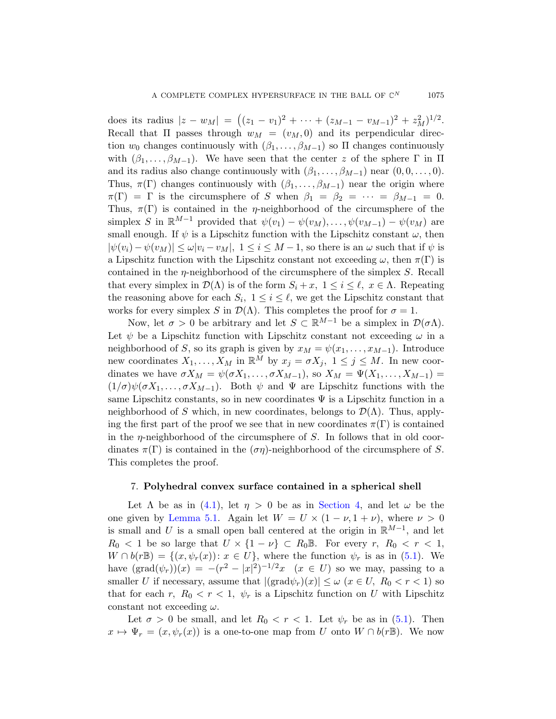does its radius  $|z - w_M| = ((z_1 - v_1)^2 + \cdots + (z_{M-1} - v_{M-1})^2 + z_M^2)^{1/2}.$ Recall that  $\Pi$  passes through  $w_M = (v_M, 0)$  and its perpendicular direction  $w_0$  changes continuously with  $(\beta_1, \ldots, \beta_{M-1})$  so  $\Pi$  changes continuously with  $(\beta_1, \ldots, \beta_{M-1})$ . We have seen that the center z of the sphere  $\Gamma$  in  $\Pi$ and its radius also change continuously with  $(\beta_1, \ldots, \beta_{M-1})$  near  $(0, 0, \ldots, 0)$ . Thus,  $\pi(\Gamma)$  changes continuously with  $(\beta_1, \ldots, \beta_{M-1})$  near the origin where  $\pi(\Gamma) = \Gamma$  is the circumsphere of S when  $\beta_1 = \beta_2 = \cdots = \beta_{M-1} = 0$ . Thus,  $\pi(\Gamma)$  is contained in the *η*-neighborhood of the circumsphere of the simplex S in  $\mathbb{R}^{M-1}$  provided that  $\psi(v_1) - \psi(v_M)$ , ...,  $\psi(v_{M-1}) - \psi(v_M)$  are small enough. If  $\psi$  is a Lipschitz function with the Lipschitz constant  $\omega$ , then  $|\psi(v_i) - \psi(v_M)| \leq \omega |v_i - v_M|$ ,  $1 \leq i \leq M-1$ , so there is an  $\omega$  such that if  $\psi$  is a Lipschitz function with the Lipschitz constant not exceeding  $\omega$ , then  $\pi(\Gamma)$  is contained in the  $\eta$ -neighborhood of the circumsphere of the simplex S. Recall that every simplex in  $\mathcal{D}(\Lambda)$  is of the form  $S_i + x, 1 \leq i \leq \ell, x \in \Lambda$ . Repeating the reasoning above for each  $S_i$ ,  $1 \leq i \leq \ell$ , we get the Lipschitz constant that works for every simplex S in  $\mathcal{D}(\Lambda)$ . This completes the proof for  $\sigma = 1$ .

Now, let  $\sigma > 0$  be arbitrary and let  $S \subset \mathbb{R}^{M-1}$  be a simplex in  $\mathcal{D}(\sigma \Lambda)$ . Let  $\psi$  be a Lipschitz function with Lipschitz constant not exceeding  $\omega$  in a neighborhood of S, so its graph is given by  $x_M = \psi(x_1, \ldots, x_{M-1})$ . Introduce new coordinates  $X_1, \ldots, X_M$  in  $\mathbb{R}^M$  by  $x_j = \sigma X_j$ ,  $1 \leq j \leq M$ . In new coordinates we have  $\sigma X_M = \psi(\sigma X_1, \ldots, \sigma X_{M-1}),$  so  $X_M = \Psi(X_1, \ldots, X_{M-1}) =$  $(1/\sigma)\psi(\sigma X_1,\ldots,\sigma X_{M-1})$ . Both  $\psi$  and  $\Psi$  are Lipschitz functions with the same Lipschitz constants, so in new coordinates  $\Psi$  is a Lipschitz function in a neighborhood of S which, in new coordinates, belongs to  $\mathcal{D}(\Lambda)$ . Thus, apply[ing](#page-4-1) the first part of the p[roof we see](#page-4-0) that in new coordinates  $\pi(\Gamma)$  is contained [in](#page-6-0) the  $\eta$ -neighborhood of the circumsphere of S. In follows that in old coordinates  $\pi(\Gamma)$  is contained in the  $(\sigma \eta)$ -neighborhood of the circumsphere of S. This completes the proof.

#### 7. Polyhedral convex surface conta[ined](#page-5-0) in a spherical shell

Let  $\Lambda$  be as in (4.1), let  $\eta > 0$  be as in Section 4, and let  $\omega$  be the one given by Lemma 5.1. Again let  $W = U \times (1 - \nu, 1 + \nu)$ , where  $\nu > 0$ is small and U is a small open ball centered at the origin in  $\mathbb{R}^{M-1}$ , and let  $R_0 < 1$  $R_0 < 1$  be so large that  $U \times \{1 - \nu\} \subset R_0 \mathbb{B}$ . For every  $r, R_0 < r < 1$ ,  $W \cap b(r\mathbb{B}) = \{(x, \psi_r(x)) : x \in U\}$ , where the function  $\psi_r$  is as in (5.1). We have  $(\text{grad}(\psi_r))(x) = -(r^2 - |x|^2)^{-1/2}x \quad (x \in U)$  so we may, passing to a smaller U if necessary, assume that  $|(\text{grad}\psi_r)(x)| \leq \omega$   $(x \in U, R_0 < r < 1)$  so that for each r,  $R_0 < r < 1$ ,  $\psi_r$  is a Lipschitz function on U with Lipschitz constant not exceeding  $\omega$ .

Let  $\sigma > 0$  be small, and let  $R_0 < r < 1$ . Let  $\psi_r$  be as in (5.1). Then  $x \mapsto \Psi_r = (x, \psi_r(x))$  is a one-to-one map from U onto  $W \cap b(r\mathbb{B})$ . We now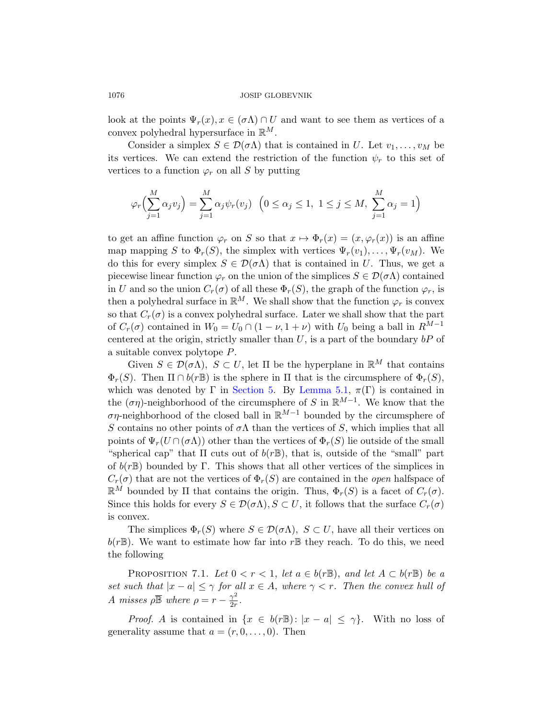look at the points  $\Psi_r(x), x \in (\sigma \Lambda) \cap U$  and want to see them as vertices of a convex polyhedral hypersurface in  $\mathbb{R}^M$ .

Consider a simplex  $S \in \mathcal{D}(\sigma \Lambda)$  that is contained in U. Let  $v_1, \ldots, v_M$  be its vertices. We can extend the restriction of the function  $\psi_r$  to this set of vertices to a function  $\varphi_r$  on all S by putting

$$
\varphi_r\Big(\sum_{j=1}^M \alpha_j v_j\Big) = \sum_{j=1}^M \alpha_j \psi_r(v_j) \quad \left(0 \le \alpha_j \le 1, \ 1 \le j \le M, \ \sum_{j=1}^M \alpha_j = 1\right)
$$

to get an affine function  $\varphi_r$  on S so that  $x \mapsto \Phi_r(x) = (x, \varphi_r(x))$  is an affine map mapping S to  $\Phi_r(S)$ , the simplex with vertices  $\Psi_r(v_1), \ldots, \Psi_r(v_M)$ . We do this for every simplex  $S \in \mathcal{D}(\sigma \Lambda)$  that is contained in U. Thus, we get a piecewise linear function  $\varphi_r$  on the union of the simplices  $S \in \mathcal{D}(\sigma \Lambda)$  contained in U and so the union  $C_r(\sigma)$  of all these  $\Phi_r(S)$ , the graph of the function  $\varphi_r$ , is then a polyhedral surface in  $\mathbb{R}^M$ . We shall show that the function  $\varphi_r$  is convex so that  $C_r(\sigma)$  is a co[nvex polyhed](#page-6-0)ral surface. Later we shall show that the part of  $C_r(\sigma)$  contained in  $W_0 = U_0 \cap (1 - \nu, 1 + \nu)$  with  $U_0$  being a ball in  $R^{M-1}$ centered at the origin, strictly smaller than  $U$ , is a part of the boundary  $bP$  of a suitable convex polytope P.

Given  $S \in \mathcal{D}(\sigma \Lambda)$ ,  $S \subset U$ , let  $\Pi$  be the hyperplane in  $\mathbb{R}^M$  that contains  $\Phi_r(S)$ . Then  $\Pi \cap b(r\mathbb{B})$  is the sphere in  $\Pi$  that is the circumsphere of  $\Phi_r(S)$ , which was denoted by Γ in Section 5. By Lemma 5.1,  $\pi(\Gamma)$  is contained in the  $(\sigma \eta)$ -neighborhood of the circumsphere of S in  $\mathbb{R}^{M-1}$ . We know that the ση-neighborhood of the closed ball in  $\mathbb{R}^{M-1}$  bounded by the circumsphere of S contains no other points of  $\sigma \Lambda$  than the vertices of S, which implies that all points of  $\Psi_r(U \cap (\sigma \Lambda))$  other than the vertices of  $\Phi_r(S)$  lie outside of the small "spherical cap" that  $\Pi$  cuts out of  $b(r\mathbb{B})$ , that is, outside of the "small" part of  $b(r\mathbb{B})$  bounded by Γ. This shows that all other vertices of the simplices in  $C_r(\sigma)$  that are not the vertices of  $\Phi_r(S)$  are contained in the *open* halfspace of  $\mathbb{R}^M$  bounded by  $\Pi$  that contains the origin. Thus,  $\Phi_r(S)$  is a facet of  $C_r(\sigma)$ . Since this holds for every  $S \in \mathcal{D}(\sigma \Lambda), S \subset U$ , it follows that the surface  $C_r(\sigma)$ is convex.

<span id="page-9-0"></span>The simplices  $\Phi_r(S)$  where  $S \in \mathcal{D}(\sigma \Lambda)$ ,  $S \subset U$ , have all their vertices on  $b(r\mathbb{B})$ . We want to estimate how far into r $\mathbb{B}$  they reach. To do this, we need the following

PROPOSITION 7.1. Let  $0 < r < 1$ , let  $a \in b(r\mathbb{B})$ , and let  $A \subset b(r\mathbb{B})$  be a set such that  $|x - a| \leq \gamma$  for all  $x \in A$ , where  $\gamma < r$ . Then the convex hull of A misses  $\rho \bar{\mathbb{B}}$  where  $\rho = r - \frac{\gamma^2}{2r}$  $\frac{\gamma^2}{2r}$ .

*Proof.* A is contained in  $\{x \in b(r\mathbb{B}) : |x - a| \leq \gamma\}$ . With no loss of generality assume that  $a = (r, 0, \ldots, 0)$ . Then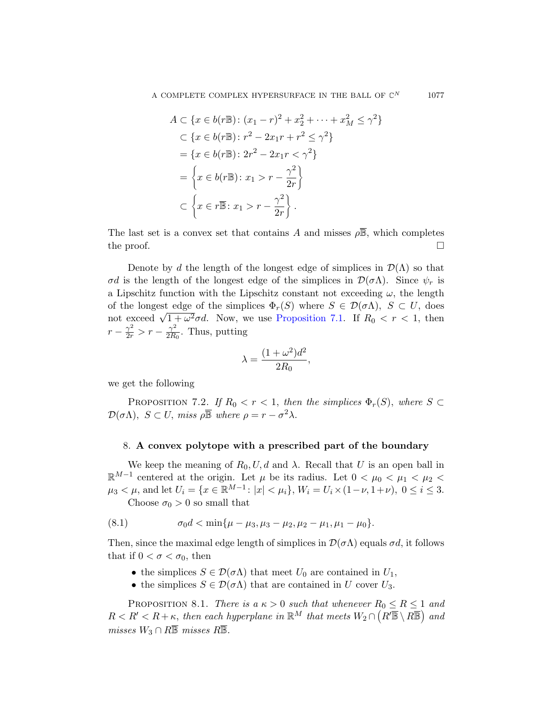$$
A \subset \{x \in b(r\mathbb{B}) : (x_1 - r)^2 + x_2^2 + \dots + x_M^2 \le \gamma^2\}
$$
  
\n
$$
\subset \{x \in b(r\mathbb{B}) : r^2 - 2x_1r + r^2 \le \gamma^2\}
$$
  
\n
$$
= \{x \in b(r\mathbb{B}) : 2r^2 - 2x_1r < \gamma^2\}
$$
  
\n
$$
= \left\{x \in b(r\mathbb{B}) : x_1 > r - \frac{\gamma^2}{2r}\right\}
$$
  
\n
$$
\subset \left\{x \in r\mathbb{B} : x_1 > r - \frac{\gamma^2}{2r}\right\}.
$$

The last set is [a convex set tha](#page-9-0)t contains A and misses  $\rho \overline{\mathbb{B}}$ , which completes the proof.  $\Box$ 

Denote by d the length of the longest edge of simplices in  $\mathcal{D}(\Lambda)$  so that σd is the length of the longest edge of the simplices in  $\mathcal{D}(\sigma \Lambda)$ . Since  $\psi_r$  is a Lipschitz function with the Lipschitz constant not exceeding  $\omega$ , the length of the longest edge of the simplices  $\Phi_r(S)$  where  $S \in \mathcal{D}(\sigma \Lambda)$ ,  $S \subset U$ , does of the longest edge of the simplices  $\Phi_r(s)$  where  $s \in D(\delta \Lambda)$ ,  $s \subset \delta$ , does not exceed  $\sqrt{1 + \omega^2} \sigma d$ . Now, we use Proposition 7.1. If  $R_0 < r < 1$ , then  $r-\frac{\gamma^2}{2r} > r-\frac{\gamma^2}{2R}$  $\frac{\gamma^2}{2R_0}$ . Thus, putting

$$
\lambda = \frac{(1 + \omega^2)d^2}{2R_0},
$$

we get the following

PROPOSITION 7.2. If  $R_0 < r < 1$ , then the simplices  $\Phi_r(S)$ , where  $S \subset$  $\mathcal{D}(\sigma \Lambda), S \subset U$ , miss  $\rho \overline{\mathbb{B}}$  where  $\rho = r - \sigma^2 \lambda$ .

#### 8. A convex polytope with a prescribed part of the boundary

We keep the meaning of  $R_0$ ,  $U$ ,  $d$  and  $\lambda$ . Recall that  $U$  is an open ball in  $\mathbb{R}^{M-1}$  centered at the origin. Let μ be its radius. Let 0 < μ<sub>0</sub> < μ<sub>1</sub> < μ<sub>2</sub> <  $\mu_3 < \mu$ , and let  $U_i = \{x \in \mathbb{R}^{M-1} : |x| < \mu_i\}$ ,  $W_i = U_i \times (1 - \nu, 1 + \nu)$ ,  $0 \le i \le 3$ . Choose  $\sigma_0 > 0$  so small that

$$
\mathcal{L}^{\mathcal{L}}(\mathcal{L}^{\mathcal{L}})
$$

(8.1) 
$$
\sigma_0 d < \min\{\mu - \mu_3, \mu_3 - \mu_2, \mu_2 - \mu_1, \mu_1 - \mu_0\}.
$$

Then, since the maximal edge length of simplices in  $\mathcal{D}(\sigma \Lambda)$  equals  $\sigma d$ , it follows that if  $0 < \sigma < \sigma_0$ , then

- the simplices  $S \in \mathcal{D}(\sigma \Lambda)$  that meet  $U_0$  are contained in  $U_1$ ,
- the simplices  $S \in \mathcal{D}(\sigma \Lambda)$  that are contained in U cover  $U_3$ .

PROPOSITION 8.1. There is a  $\kappa > 0$  such that whenever  $R_0 \le R \le 1$  and  $R < R' < R + \kappa$ , then each hyperplane in  $\mathbb{R}^M$  that meets  $W_2 \cap (R' \overline{\mathbb{B}} \setminus R \overline{\mathbb{B}})$  and misses  $W_3 \cap R\overline{\mathbb{B}}$  misses  $R\overline{\mathbb{B}}$ .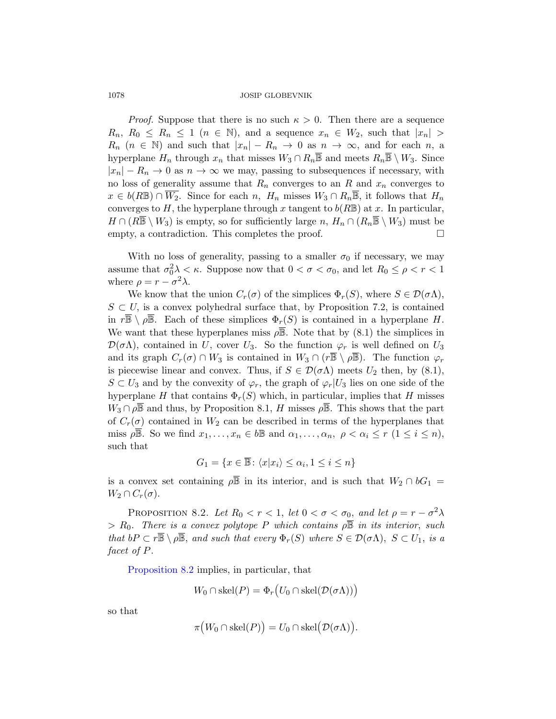*Proof.* Suppose that there is no such  $\kappa > 0$ . Then there are a sequence  $R_n, R_0 \leq R_n \leq 1 \ (n \in \mathbb{N})$ , and a sequence  $x_n \in W_2$ , such that  $|x_n| >$  $R_n$  ( $n \in \mathbb{N}$ ) and such that  $|x_n| - R_n \to 0$  as  $n \to \infty$ , and for each n, a hyperplane  $H_n$  through  $x_n$  that misses  $W_3 \cap R_n \overline{\mathbb{B}}$  and meets  $R_n \overline{\mathbb{B}} \setminus W_3$ . Since  $|x_n| - R_n \to 0$  as  $n \to \infty$  we may, passing to subsequences if necessary, with no loss of generality assume that  $R_n$  converges to an R and  $x_n$  converges to  $x \in b(R\mathbb{B}) \cap \overline{W_2}$ . Since for each n,  $H_n$  misses  $W_3 \cap R_n\overline{\mathbb{B}}$ , it follows that  $H_n$ converges to H, the hyperplane through x tangent to  $b(R\mathbb{B})$  at x. In particular,  $H \cap (R\overline{\mathbb{B}} \setminus W_3)$  is empty, so for sufficiently large  $n, H_n \cap (R_n\overline{\mathbb{B}} \setminus W_3)$  must be empty, a contradiction. This completes the proof.  $\Box$ 

With no loss of generality, passing to a smaller  $\sigma_0$  if necessary, we may assume that  $\sigma_0^2 \lambda < \kappa$ . Suppose now that  $0 < \sigma < \sigma_0$ , and let  $R_0 \le \rho < r < 1$ where  $\rho = r - \sigma^2 \lambda$ .

We know that the union  $C_r(\sigma)$  of the simplices  $\Phi_r(S)$ , where  $S \in \mathcal{D}(\sigma \Lambda)$ ,  $S \subset U$ , is a convex polyhedral surface that, by Proposition 7.2, is contained in  $r\overline{\mathbb{B}} \setminus \rho \overline{\mathbb{B}}$ . Each of these simplices  $\Phi_r(S)$  is contained in a hyperplane H. We want that these hyperplanes miss  $\rho \overline{\mathbb{B}}$ . Note that by (8.1) the simplices in  $\mathcal{D}(\sigma\Lambda)$ , contained in U, cover U<sub>3</sub>. So the function  $\varphi_r$  is well defined on U<sub>3</sub> and its graph  $C_r(\sigma) \cap W_3$  is contained in  $W_3 \cap (r\overline{\mathbb{B}} \setminus \rho \overline{\mathbb{B}})$ . The function  $\varphi_r$ is piecewise linear and convex. Thus, if  $S \in \mathcal{D}(\sigma \Lambda)$  meets  $U_2$  then, by (8.1),  $S \subset U_3$  and by the convexity of  $\varphi_r$ , the graph of  $\varphi_r|U_3$  lies on one side of the hyperplane H that contains  $\Phi_r(S)$  which, in particular, implies that H misses  $W_3 \cap \rho \overline{\mathbb{B}}$  and thus, by Proposition 8.1, H misses  $\rho \overline{\mathbb{B}}$ . This shows that the part of  $C_r(\sigma)$  contained in  $W_2$  can be described in terms of the hyperplanes that miss  $\rho \mathbb{B}$ . So we find  $x_1, \ldots, x_n \in b \mathbb{B}$  and  $\alpha_1, \ldots, \alpha_n, \ \rho < \alpha_i \leq r \ (1 \leq i \leq n),$ such that

$$
G_1 = \{ x \in \overline{\mathbb{B}} \colon \langle x | x_i \rangle \le \alpha_i, 1 \le i \le n \}
$$

<span id="page-11-0"></span>is a convex set containing  $\rho \overline{B}$  in its interior, and is such that  $W_2 \cap bG_1 =$  $W_2 \cap C_r(\sigma)$ .

PROPOSITION 8.2. Let  $R_0 < r < 1$ , let  $0 < \sigma < \sigma_0$ , and let  $\rho = r - \sigma^2 \lambda$  $> R_0$ . There is a convex polytope P which contains  $\rho \overline{\mathbb{B}}$  in its interior, such that  $bP \subset r\overline{\mathbb{B}} \setminus \rho \overline{\mathbb{B}}$ , and such that every  $\Phi_r(S)$  where  $S \in \mathcal{D}(\sigma \Lambda)$ ,  $S \subset U_1$ , is a facet of P.

Proposition 8.2 implies, in particular, that

$$
W_0 \cap \text{skel}(P) = \Phi_r(U_0 \cap \text{skel}(\mathcal{D}(\sigma \Lambda)))
$$

so that

$$
\pi\big(W_0 \cap \text{skel}(P)\big) = U_0 \cap \text{skel}\big(\mathcal{D}(\sigma \Lambda)\big).
$$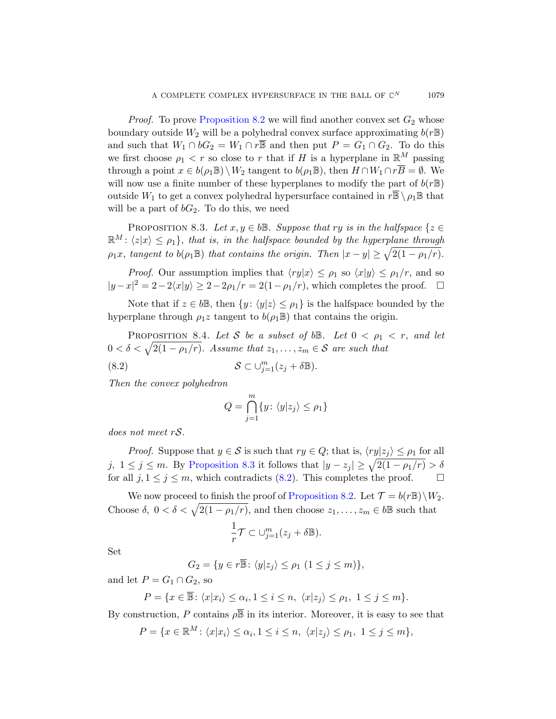<span id="page-12-0"></span>*Proof.* To prove Proposition 8.2 we will find another convex set  $G_2$  whose boundary outside  $W_2$  will be a polyhedral convex surface approximating  $b(rB)$ and such that  $W_1 \cap bG_2 = W_1 \cap r\overline{\mathbb{B}}$  and then put  $P = G_1 \cap G_2$ . To do this we first choose  $\rho_1 < r$  so close to r that if H is a hyperplane in  $\mathbb{R}^M$  passing through a point  $x \in b(\rho_1 \mathbb{B}) \setminus W_2$  tangent to  $b(\rho_1 \mathbb{B})$ , then  $H \cap W_1 \cap r\overline{B} = \emptyset$ . We will now use a finite number of these hyperplanes to modify the part of  $b(rB)$ outside  $W_1$  to get a convex polyhedral hypersurface contained in  $r\overline{\mathbb{B}} \setminus \rho_1 \mathbb{B}$  that will be a part of  $bG_2$ . To do this, we need

PROPOSITION 8.3. Let  $x, y \in b\mathbb{B}$ . Suppose that ry is in the halfspace  $\{z \in$  $\mathbb{R}^M$ :  $\langle z|x \rangle \leq \rho_1$ , that is, in the halfspace bounded by the hyperplane through  $\rho_1x$ , tangent to  $b(\rho_1\mathbb{B})$  that contains the origin. Then  $|x-y|\geq \sqrt{2(1-\rho_1/r)}$ .

*Proof.* Our assumption implies that  $\langle ry|x \rangle \leq \rho_1$  so  $\langle x|y \rangle \leq \rho_1/r$ , and so  $|y-x|^2 = 2-2\langle x|y\rangle \geq 2-2\rho_1/r = 2(1-\rho_1/r)$ , which completes the proof.  $\square$ 

Note that if  $z \in b\mathbb{B}$ , then  $\{y : \langle y|z \rangle \leq \rho_1\}$  is the halfspace bounded by the hyperplane through  $\rho_1 z$  tangent to  $b(\rho_1 \mathbb{B})$  that contains the origin.

PROPOSITION 8.4. Let S be a subset of bB. Let  $0 < \rho_1 < r$ , and let  $0 < \delta < \sqrt{2(1 - \rho_1/r)}$ . Assume that  $z_1, \ldots, z_m \in \mathcal{S}$  are such that

(8.2) 
$$
\mathcal{S} \subset \cup_{j=1}^m (z_j + \delta \mathbb{B}).
$$

[Then the co](#page-12-0)nvex polyhedron

$$
Q = \bigcap_{j=1}^{m} \{y \colon \langle y|z_j \rangle \le \rho_1\}
$$

does not meet rS.

*Proof.* Suppose that  $y \in S$  is such that  $ry \in Q$ ; that is,  $\langle ry|z_i \rangle \le \rho_1$  for all j,  $1 \leq j \leq m$ . By Proposition 8.3 it follows that  $|y - z_j| \geq \sqrt{2(1 - \rho_1/r)} > \delta$ for all  $j, 1 \leq j \leq m$ , which contradicts (8.2). This completes the proof.

We now proceed to finish the proof of Proposition 8.2. Let  $\mathcal{T} = b(r\mathbb{B})\backslash W_2$ . Choose  $\delta$ ,  $0 < \delta < \sqrt{2(1 - \rho_1/r)}$ , and then choose  $z_1, \ldots, z_m \in b\mathbb{B}$  such that

$$
\frac{1}{r}\mathcal{T} \subset \cup_{j=1}^m (z_j + \delta \mathbb{B}).
$$

Set

$$
G_2 = \{ y \in r\overline{\mathbb{B}} \colon \langle y|z_j \rangle \le \rho_1 \ (1 \le j \le m) \},\
$$

and let  $P = G_1 \cap G_2$ , so

$$
P = \{ x \in \overline{\mathbb{B}} \colon \langle x | x_i \rangle \le \alpha_i, 1 \le i \le n, \ \langle x | z_j \rangle \le \rho_1, \ 1 \le j \le m \}.
$$

By construction, P contains  $\rho \overline{B}$  in its interior. Moreover, it is easy to see that

 $P = \{x \in \mathbb{R}^M : \langle x | x_i \rangle \le \alpha_i, 1 \le i \le n, \langle x | z_j \rangle \le \rho_1, 1 \le j \le m\},\$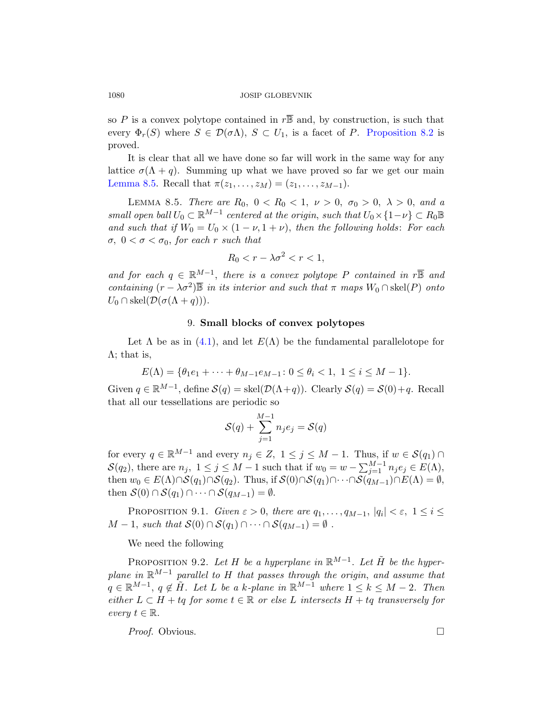<span id="page-13-2"></span>so P is a convex polytope contained in  $r\overline{\mathbb{B}}$  and, by construction, is such that every  $\Phi_r(S)$  where  $S \in \mathcal{D}(\sigma \Lambda)$ ,  $S \subset U_1$ , is a facet of P. Proposition 8.2 is proved.

It is clear that all we have done so far will work in the same way for any lattice  $\sigma(\Lambda + q)$ . Summing up what we have proved so far we get our main Lemma 8.5. Recall that  $\pi(z_1, \ldots, z_M) = (z_1, \ldots, z_{M-1}).$ 

LEMMA 8.5. There are  $R_0$ ,  $0 < R_0 < 1$ ,  $\nu > 0$ ,  $\sigma_0 > 0$ ,  $\lambda > 0$ , and a small open ball  $U_0 \subset \mathbb{R}^{M-1}$  centered at the origin, such that  $U_0 \times \{1-\nu\} \subset R_0 \mathbb{B}$ and such that if  $W_0 = U_0 \times (1 - \nu, 1 + \nu)$ , then the following holds: For each σ,  $0 < σ < σ_0$ , for each r such that

$$
R_0 < r - \lambda \sigma^2 < r < 1,
$$

and for each  $q \in \mathbb{R}^{M-1}$ , there is a convex polytope P contained in r $\overline{\mathbb{B}}$  and containing  $(r - \lambda \sigma^2)$  in its interior and such that  $\pi$  maps  $W_0 \cap \text{skel}(P)$  onto  $U_0 \cap \text{skel}(\mathcal{D}(\sigma(\Lambda + q))).$ 

#### 9. Small blocks of convex polytopes

Let  $\Lambda$  be as in (4.1), and let  $E(\Lambda)$  be the fundamental parallelotope for  $\Lambda$ ; that is,

$$
E(\Lambda) = \{ \theta_1 e_1 + \dots + \theta_{M-1} e_{M-1} : 0 \le \theta_i < 1, \ 1 \le i \le M - 1 \}.
$$

Given  $q \in \mathbb{R}^{M-1}$ , define  $\mathcal{S}(q) = \text{skel}(\mathcal{D}(\Lambda + q))$ . Clearly  $\mathcal{S}(q) = \mathcal{S}(0) + q$ . Recall that all our tessellations are periodic so

$$
\mathcal{S}(q) + \sum_{j=1}^{M-1} n_j e_j = \mathcal{S}(q)
$$

<span id="page-13-1"></span><span id="page-13-0"></span>for every  $q \in \mathbb{R}^{M-1}$  and every  $n_j \in Z$ ,  $1 \leq j \leq M-1$ . Thus, if  $w \in \mathcal{S}(q_1) \cap$  $\mathcal{S}(q_2)$ , there are  $n_j$ ,  $1 \leq j \leq M-1$  such that if  $w_0 = w - \sum_{j=1}^{M-1} n_j e_j \in E(\Lambda)$ , then  $w_0 \in E(\Lambda) \cap S(q_1) \cap S(q_2)$ . Thus, if  $S(0) \cap S(q_1) \cap \cdots \cap S(q_{M-1}) \cap E(\Lambda) = \emptyset$ , then  $S(0) \cap S(q_1) \cap \cdots \cap S(q_{M-1}) = \emptyset$ .

PROPOSITION 9.1. Given  $\varepsilon > 0$ , there are  $q_1, \ldots, q_{M-1}$ ,  $|q_i| < \varepsilon$ ,  $1 \le i \le n$  $M-1$ , such that  $S(0) \cap S(q_1) \cap \cdots \cap S(q_{M-1}) = \emptyset$ .

#### We need the following

PROPOSITION 9.2. Let H be a hyperplane in  $\mathbb{R}^{M-1}$ . Let  $\tilde{H}$  be the hyperplane in  $\mathbb{R}^{M-1}$  parallel to H that passes through the origin, and assume that  $q \in \mathbb{R}^{M-1}$ ,  $q \notin \tilde{H}$ . Let L be a k-plane in  $\mathbb{R}^{M-1}$  where  $1 \leq k \leq M-2$ . Then either  $L \subset H + tq$  for some  $t \in \mathbb{R}$  or else L intersects  $H + tq$  transversely for every  $t \in \mathbb{R}$ .

*Proof.* Obvious. □

$$
1080\,
$$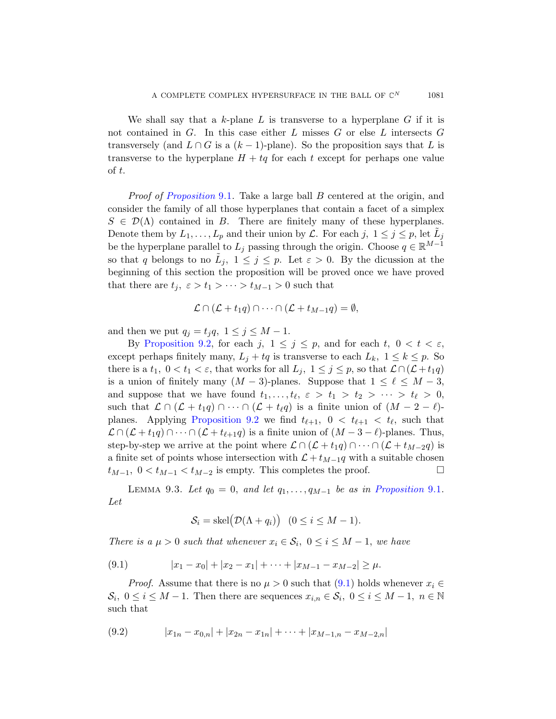[W](#page-13-0)e shall say that a k-plane L is transverse to a hyperplane  $G$  if it is not contained in G. In this case either L misses G or else L intersects G transversely (and  $L \cap G$  is a  $(k-1)$ -plane). So the proposition says that L is transverse to the hyperplane  $H + tq$  for each t except for perhaps one value of t.

Proof of Proposition 9.1. Take a large ball B centered at the origin, and consider the family of all those hyperplanes that contain a facet of a simplex  $S \in \mathcal{D}(\Lambda)$  contained in B. There are finitely many of these hyperplanes. Denote them by  $L_1, \ldots, L_p$  and their union by  $\mathcal{L}$ . For each j,  $1 \leq j \leq p$ , let  $\tilde{L}_j$ be the hyperplane parallel to  $L_j$  passing through the origin. Choose  $q \in \mathbb{R}^{M-1}$ [s](#page-13-1)o that q belongs to no  $\tilde{L}_j$ ,  $1 \leq j \leq p$ . Let  $\varepsilon > 0$ . By the dicussion at the beginning of this section the proposition will be proved once we have proved that there are  $t_j$ ,  $\varepsilon > t_1 > \cdots > t_{M-1} > 0$  such that

$$
\mathcal{L} \cap (\mathcal{L} + t_1 q) \cap \cdots \cap (\mathcal{L} + t_{M-1} q) = \emptyset,
$$

and then we put  $q_j = t_j q$ ,  $1 \leq j \leq M - 1$ .

<span id="page-14-1"></span>By [Prop](#page-13-1)osition 9.2, for each j,  $1 \leq j \leq p$ , and for each t,  $0 < t < \varepsilon$ , except perhaps finitely many,  $L_i + tq$  is transverse to each  $L_k$ ,  $1 \leq k \leq p$ . So there is a  $t_1, 0 < t_1 < \varepsilon$ , that works for all  $L_j$ ,  $1 \leq j \leq p$ , so that  $\mathcal{L} \cap (\mathcal{L} + t_1 q)$ is a union of finitely many  $(M - 3)$ -planes. Suppose that  $1 \leq \ell \leq M - 3$ , and suppose that we have found  $t_1, \ldots, t_\ell, \varepsilon > t_1 > t_2 > \cdots > t_\ell > 0$ , such that  $\mathcal{L} \cap (\mathcal{L} + t_1q) \cap \cdots \cap (\mathcal{L} + t_{\ell}q)$  is a finite union of  $(M - 2 - \ell)$ planes. Applying Proposition 9.2 we find  $t_{\ell+1}$ ,  $0 < t_{\ell+1} < t_{\ell}$ , such that  $\mathcal{L} \cap (\mathcal{L} + t_1q) \cap \cdots \cap (\mathcal{L} + t_{\ell+1}q)$  is a finite union of  $(M - 3 - \ell)$ -planes. Thus, step-by-step we arrive at the point where  $\mathcal{L} \cap (\mathcal{L} + t_1 q) \cap \cdots \cap (\mathcal{L} + t_{M-2} q)$  is a finite set of points whose intersection with  $\mathcal{L} + t_{M-1}q$  with a suitable chosen  $t_{M-1}$ ,  $0 < t_{M-1} < t_{M-2}$  is empty. This completes the proof.  $\Box$ 

LEMMA 9.3. Let  $q_0 = 0$ , and let  $q_1, \ldots, q_{M-1}$  be as in Proposition 9.1. Let

$$
S_i = \text{skel}(\mathcal{D}(\Lambda + q_i)) \quad (0 \le i \le M - 1).
$$

<span id="page-14-0"></span>There is a  $\mu > 0$  such that whenever  $x_i \in \mathcal{S}_i$ ,  $0 \le i \le M - 1$ , we have

$$
(9.1) \t\t |x_1 - x_0| + |x_2 - x_1| + \cdots + |x_{M-1} - x_{M-2}| \ge \mu.
$$

*Proof.* Assume that there is no  $\mu > 0$  such that  $(9.1)$  holds whenever  $x_i \in$  $S_i, 0 \le i \le M-1$ . Then there are sequences  $x_{i,n} \in S_i, 0 \le i \le M-1, n \in \mathbb{N}$ such that

$$
(9.2) \t\t |x_{1n}-x_{0,n}|+|x_{2n}-x_{1n}|+\cdots+|x_{M-1,n}-x_{M-2,n}|
$$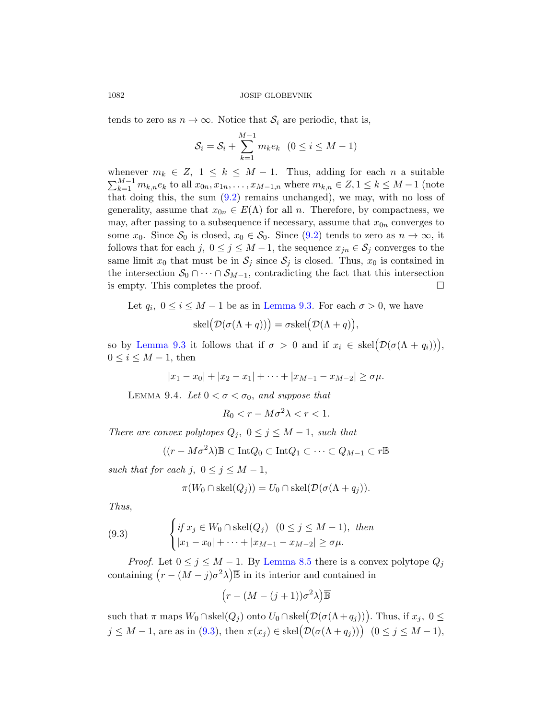ten[ds t](#page-14-0)o zero as  $n \to \infty$ . Notice that  $\mathcal{S}_i$  are periodic, that is,

$$
S_i = S_i + \sum_{k=1}^{M-1} m_k e_k \quad (0 \le i \le M-1)
$$

whenever  $m_k \in Z$ ,  $1 \leq k \leq M-1$ . Thus, adding for each n a suitable  $\sum_{k=1}^{M-1} m_{k,n} e_k$  to all  $x_{0n}, x_{1n}, \ldots, x_{M-1,n}$  where  $m_{k,n} \in \mathbb{Z}, 1 \leq k \leq M-1$  (note that doing this, the sum  $(9.2)$  remains unchanged), we may, with no loss of generality, assume that  $x_{0n} \in E(\Lambda)$  for all n. Therefore, by compactness, we may, after p[assing to a su](#page-14-1)bsequence if necessary, assume that  $x_{0n}$  converges to some  $x_0$ . Since  $S_0$  is closed,  $x_0 \in S_0$ . Since  $(9.2)$  tends to zero as  $n \to \infty$ , it follows that for each j,  $0 \le j \le M-1$ , the sequence  $x_{jn} \in \mathcal{S}_j$  converges to the same limit  $x_0$  that must be in  $S_i$  since  $S_j$  is closed. Thus,  $x_0$  is contained in the intersection  $S_0 \cap \cdots \cap S_{M-1}$ , contradicting the fact that this intersection is empty. This completes the proof.

Let  $q_i$ ,  $0 \le i \le M - 1$  be as in Lemma 9.3. For each  $\sigma > 0$ , we have

$$
skel(D(\sigma(\Lambda + q))) = \sigma skel(D(\Lambda + q)),
$$

so by Lemma 9.3 it follows that if  $\sigma > 0$  and if  $x_i \in skel(D(\sigma(\Lambda + q_i)))$ ,  $0 \leq i \leq M-1$ , then

$$
|x_1 - x_0| + |x_2 - x_1| + \cdots + |x_{M-1} - x_{M-2}| \ge \sigma \mu.
$$

LEMMA 9.4. Let  $0 < \sigma < \sigma_0$ , and suppose that

$$
R_0 < r - M\sigma^2 \lambda < r < 1.
$$

There are convex polytopes  $Q_j$ ,  $0 \leq j \leq M-1$ , such that

$$
((r - M\sigma^2 \lambda)\overline{\mathbb{B}} \subset \text{Int}Q_0 \subset \text{Int}Q_1 \subset \cdots \subset Q_{M-1} \subset r\overline{\mathbb{B}}
$$

<span id="page-15-0"></span>such that for each j,  $0 \le j \le M - 1$ ,

$$
\pi(W_0 \cap \text{skel}(Q_j)) = U_0 \cap \text{skel}(\mathcal{D}(\sigma(\Lambda + q_j))).
$$

Thus,

(9.3) 
$$
\begin{cases} if \ x_j \in W_0 \cap skel(Q_j) & (0 \le j \le M - 1), \ then \\ |x_1 - x_0| + \cdots + |x_{M-1} - x_{M-2}| \ge \sigma \mu. \end{cases}
$$

*Proof.* Let  $0 \le j \le M - 1$ . By Lemma 8.5 there is a convex polytope  $Q_j$ containing  $(r - (M - j)\sigma^2 \lambda)$  in its interior and contained in

$$
(r - (M - (j + 1))\sigma^2 \lambda) \overline{\mathbb{B}}
$$

such that  $\pi$  maps  $W_0 \cap skel(Q_j)$  onto  $U_0 \cap skel(\mathcal{D}(\sigma(\Lambda + q_j)))$ . Thus, if  $x_j, 0 \leq$  $j \leq M-1$ , are as in (9.3), then  $\pi(x_j) \in \text{skel}(\mathcal{D}(\sigma(\Lambda + q_j)))$   $(0 \leq j \leq M-1)$ ,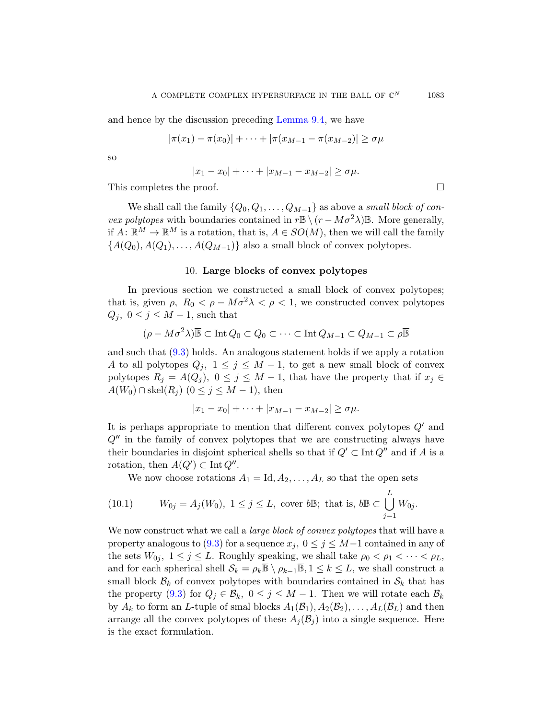and hence by the discussion preceding Lemma 9.4, we have

$$
|\pi(x_1) - \pi(x_0)| + \dots + |\pi(x_{M-1} - \pi(x_{M-2})| \ge \sigma \mu
$$

so

$$
|x_1 - x_0| + \cdots + |x_{M-1} - x_{M-2}| \ge \sigma \mu.
$$

This completes the proof.

We shall call the family  $\{Q_0, Q_1, \ldots, Q_{M-1}\}$  as above a small block of con*vex polytopes* with boundaries contained in  $r\overline{\mathbb{B}} \setminus (r - M\sigma^2\lambda)\overline{\mathbb{B}}$ . More generally, if  $A: \mathbb{R}^M \to \mathbb{R}^M$  is a rotation, that is,  $A \in SO(M)$ , then we will call the family  ${A(Q_0), A(Q_1), \ldots, A(Q_{M-1})}$  also a small block of convex polytopes.

#### 10. Large blocks of convex polytopes

In previous section we constructed a small block of convex polytopes; that is, given  $\rho$ ,  $R_0 < \rho - M\sigma^2 \lambda < \rho < 1$ , we constructed convex polytopes  $Q_i, 0 \leq j \leq M-1$ , such that

$$
(\rho - M\sigma^2 \lambda) \overline{\mathbb{B}} \subset \text{Int } Q_0 \subset Q_0 \subset \cdots \subset \text{Int } Q_{M-1} \subset Q_{M-1} \subset \rho \overline{\mathbb{B}}
$$

and such that (9.3) holds. An analogous statement holds if we apply a rotation A to all polytopes  $Q_i$ ,  $1 \leq j \leq M-1$ , to get a new small block of convex polytopes  $R_j = A(Q_j)$ ,  $0 \le j \le M - 1$ , that have the property that if  $x_j \in$  $A(W_0) \cap \text{skel}(R_i)$   $(0 \leq j \leq M-1)$ , then

$$
|x_1 - x_0| + \cdots + |x_{M-1} - x_{M-2}| \ge \sigma \mu.
$$

<span id="page-16-0"></span>It is perhaps appropriate to mention that different convex polytopes  $Q'$  and  $Q''$  in the family of convex polytopes that we are constructing always have their boundaries in disjoint spherical shells so that if  $Q' \subset \text{Int } Q''$  and if A is a [rota](#page-15-0)tion, then  $A(Q') \subset \text{Int } Q''$ .

We now choose rotations  $A_1 = \text{Id}, A_2, \ldots, A_L$  so that the open sets

(10.1) 
$$
W_{0j} = A_j(W_0), \ 1 \leq j \leq L, \text{ cover } b\mathbb{B}; \text{ that is, } b\mathbb{B} \subset \bigcup_{j=1}^L W_{0j}.
$$

We now construct what we call a *large block of convex polytopes* that will have a property analogous to (9.3) for a sequence  $x_j$ ,  $0 \le j \le M-1$  contained in any of the sets  $W_{0j}$ ,  $1 \leq j \leq L$ . Roughly speaking, we shall take  $\rho_0 < \rho_1 < \cdots < \rho_L$ , and for each spherical shell  $S_k = \rho_k \overline{\mathbb{B}} \setminus \rho_{k-1} \overline{\mathbb{B}}, 1 \leq k \leq L$ , we shall construct a small block  $\mathcal{B}_k$  of convex polytopes with boundaries contained in  $\mathcal{S}_k$  that has the property (9.3) for  $Q_j \in \mathcal{B}_k$ ,  $0 \leq j \leq M-1$ . Then we will rotate each  $\mathcal{B}_k$ by  $A_k$  to form an L-tuple of smal blocks  $A_1(\mathcal{B}_1), A_2(\mathcal{B}_2), \ldots, A_L(\mathcal{B}_L)$  and then arrange all the convex polytopes of these  $A_i(\mathcal{B}_i)$  into a single sequence. Here is the exact formulation.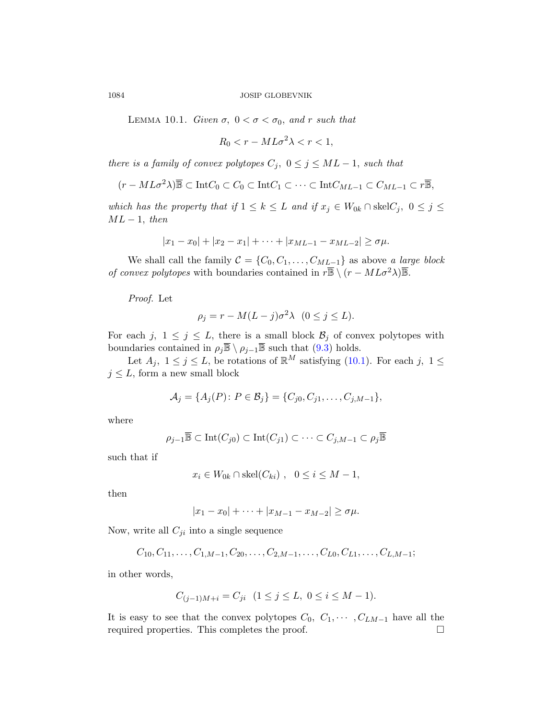LEMMA 10.1. Given  $\sigma$ ,  $0 < \sigma < \sigma_0$ , and r such that

$$
R_0 < r - M L \sigma^2 \lambda < r < 1,
$$

there is a family of convex polytopes  $C_j$ ,  $0 \leq j \leq ML-1$ , such that

$$
(r - ML\sigma^2 \lambda) \overline{\mathbb{B}} \subset \text{Int} C_0 \subset C_0 \subset \text{Int} C_1 \subset \cdots \subset \text{Int} C_{ML-1} \subset C_{ML-1} \subset r\overline{\mathbb{B}},
$$

which has the property that if  $1 \leq k \leq L$  and if  $x_j \in W_{0k} \cap \text{skel}C_j$ ,  $0 \leq j \leq L$  $ML-1$ , then

$$
|x_1 - x_0| + |x_2 - x_1| + \cdots + |x_{ML-1} - x_{ML-2}| \ge \sigma \mu.
$$

We shall call the family  $C = \{C_0, C_1, \ldots, C_{ML-1}\}$  as above a large block of convex polytopes with [bou](#page-15-0)nd[aries c](#page-16-0)ontained in  $r\overline{\mathbb{B}} \setminus (r - ML\sigma^2\lambda)\overline{\mathbb{B}}$ .

Proof. Let

$$
\rho_j = r - M(L - j)\sigma^2 \lambda \quad (0 \le j \le L).
$$

For each j,  $1 \leq j \leq L$ , there is a small block  $\mathcal{B}_j$  of convex polytopes with boundaries contained in  $\rho_j \overline{\mathbb{B}} \setminus \rho_{j-1} \overline{\mathbb{B}}$  such that  $(9.3)$  holds.

Let  $A_j$ ,  $1 \leq j \leq L$ , be rotations of  $\mathbb{R}^M$  satisfying (10.1). For each j,  $1 \leq$  $j\leq L,$  form a new small block

$$
A_j = \{A_j(P): P \in \mathcal{B}_j\} = \{C_{j0}, C_{j1}, \ldots, C_{j,M-1}\},\
$$

where

$$
\rho_{j-1}\overline{\mathbb{B}} \subset \text{Int}(C_{j0}) \subset \text{Int}(C_{j1}) \subset \cdots \subset C_{j,M-1} \subset \rho_j \overline{\mathbb{B}}
$$

such that if

$$
x_i \in W_{0k} \cap \text{skel}(C_{ki}), \quad 0 \le i \le M - 1,
$$

then

$$
|x_1 - x_0| + \cdots + |x_{M-1} - x_{M-2}| \ge \sigma \mu.
$$

Now, write all  $C_{ji}$  into a single sequence

$$
C_{10}, C_{11}, \ldots, C_{1,M-1}, C_{20}, \ldots, C_{2,M-1}, \ldots, C_{L0}, C_{L1}, \ldots, C_{L,M-1};
$$

in other words,

$$
C_{(j-1)M+i} = C_{ji} \quad (1 \le j \le L, \ 0 \le i \le M-1).
$$

It is easy to see that the convex polytopes  $C_0, C_1, \cdots, C_{LM-1}$  have all the required properties. This completes the proof.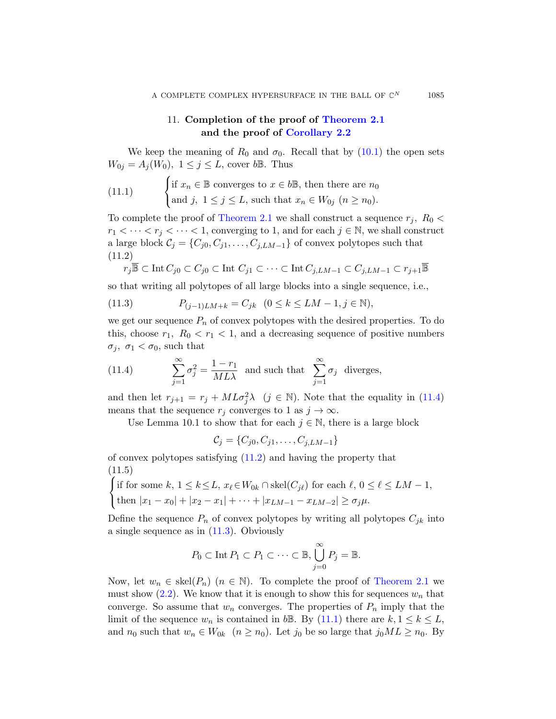# 11. Completion of the proof of Theorem 2.1 and the proof of Corollary 2.2

<span id="page-18-2"></span>We keep the meaning of  $R_0$  and  $\sigma_0$ . Recall that by (10.1) the open sets  $W_{0j} = A_j(W_0), 1 \leq j \leq L$ , cover bB. Thus

(11.1) 
$$
\begin{cases} \text{if } x_n \in \mathbb{B} \text{ converges to } x \in b\mathbb{B}, \text{ then there are } n_0 \\ \text{and } j, \ 1 \leq j \leq L, \text{ such that } x_n \in W_{0j} \ (n \geq n_0). \end{cases}
$$

<span id="page-18-1"></span>To complete the proof of Theorem 2.1 we shall construct a sequence  $r_j$ ,  $R_0$  <  $r_1 < \cdots < r_j < \cdots < 1$ , converging to 1, and for each  $j \in \mathbb{N}$ , we shall construct a large block  $C_j = \{C_{j0}, C_{j1}, \ldots, C_{j,LM-1}\}\$  of convex polytopes such that (11.2)

$$
r_j \overline{\mathbb{B}} \subset \text{Int } C_{j0} \subset C_{j0} \subset \text{Int } C_{j1} \subset \cdots \subset \text{Int } C_{j,LM-1} \subset C_{j,LM-1} \subset r_{j+1} \overline{\mathbb{B}}
$$

<span id="page-18-0"></span>so that writing all polytopes of all large blocks into a single sequence, i.e.,

(11.3) 
$$
P_{(j-1)LM+k} = C_{jk} \quad (0 \le k \le LM - 1, j \in \mathbb{N}),
$$

we get our sequence  $P_n$  of convex polytopes with [the d](#page-18-0)esired properties. To do this, choose  $r_1$ ,  $R_0 < r_1 < 1$ , and a decreasing sequence of positive numbers  $\sigma_j$ ,  $\sigma_1 < \sigma_0$ , such that

(11.4) 
$$
\sum_{j=1}^{\infty} \sigma_j^2 = \frac{1 - r_1}{ML\lambda}
$$
 and such that 
$$
\sum_{j=1}^{\infty} \sigma_j
$$
 diverges,

and then let  $r_{j+1} = r_j + ML\sigma_j^2 \lambda$  ( $j \in \mathbb{N}$ ). Note that the equality in (11.4) means that the sequence  $r_j$  converges to 1 as  $j \to \infty$ .

Use Lemma 10.1 to show that for each  $j \in \mathbb{N}$ , there is a large block

$$
\mathcal{C}_j = \{C_{j0}, C_{j1}, \dots, C_{j,LM-1}\}
$$

[of con](#page-18-1)vex polytopes satisfying (11.2) and having the property that (11.5)

$$
\begin{cases} \text{if for some } k, 1 \le k \le L, \ x_{\ell} \in W_{0k} \cap \text{skel}(C_{j\ell}) \text{ for each } \ell, 0 \le \ell \le LM - 1, \\ \text{then } |x_1 - x_0| + |x_2 - x_1| + \dots + |x_{LM-1} - x_{LM-2}| \ge \sigma_j \mu. \end{cases}
$$

Define the sequence  $P_n$  of convex polytopes by writing all polytopes  $C_{jk}$  into a single sequence as in (1[1.3\).](#page-18-2) Obviously

$$
P_0 \subset \text{Int } P_1 \subset P_1 \subset \cdots \subset \mathbb{B}, \bigcup_{j=0}^{\infty} P_j = \mathbb{B}.
$$

Now, let  $w_n \in \text{skel}(P_n)$   $(n \in \mathbb{N})$ . To complete the proof of Theorem 2.1 we must show  $(2.2)$ . We know that it is enough to show this for sequences  $w_n$  that converge. So assume that  $w_n$  converges. The properties of  $P_n$  imply that the limit of the sequence  $w_n$  is contained in bB. By (11.1) there are  $k, 1 \leq k \leq L$ , and  $n_0$  such that  $w_n \in W_{0k}$   $(n \ge n_0)$ . Let  $j_0$  be so large that  $j_0ML \ge n_0$ . By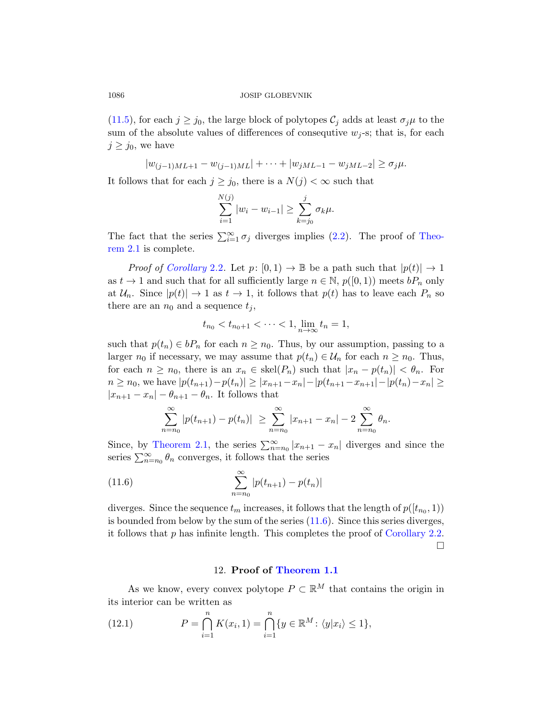(11.5), for each  $j \geq j_0$ , the large block of polytopes  $\mathcal{C}_j$  adds at least  $\sigma_j \mu$  to the sum of the absolute values of differences of consequtive  $w_j$ -s; that is, for each  $j \geq j_0$ , we have

$$
|w_{(j-1)ML+1} - w_{(j-1)ML}| + \cdots + |w_{jML-1} - w_{jML-2}| \ge \sigma_j \mu.
$$

[It fo](#page-3-0)llows that for each  $j \geq j_0$ , there is a  $N(j) < \infty$  such that

$$
\sum_{i=1}^{N(j)} |w_i - w_{i-1}| \ge \sum_{k=j_0}^{j} \sigma_k \mu.
$$

The fact that the series  $\sum_{i=1}^{\infty} \sigma_i$  diverges implies (2.2). The proof of Theorem 2.1 is complete.

*Proof of Corollary* 2.2. Let  $p: [0,1) \to \mathbb{B}$  be a path such that  $|p(t)| \to 1$ as  $t \to 1$  and such that for all sufficiently large  $n \in \mathbb{N}$ ,  $p([0, 1))$  meets  $bP_n$  only at  $\mathcal{U}_n$ . Since  $|p(t)| \to 1$  as  $t \to 1$ , it follows that  $p(t)$  has to leave each  $P_n$  so there are an  $n_0$  and a sequence  $t_i$ ,

$$
t_{n_0} < t_{n_0+1} < \cdots < 1, \lim_{n \to \infty} t_n = 1,
$$

such that  $p(t_n) \in bP_n$  for each  $n \geq n_0$ . Thus, by our assumption, passing to a larger  $n_0$  if necessary, we may assume that  $p(t_n) \in \mathcal{U}_n$  for each  $n \geq n_0$ . Thus, [f](#page-2-0)or each  $n \geq n_0$ , there is an  $x_n \in skel(P_n)$  such that  $|x_n - p(t_n)| < \theta_n$ . For  $n \geq n_0$ , we have  $|p(t_{n+1})-p(t_n)| \geq |x_{n+1}-x_n| - |p(t_{n+1}-x_{n+1})-p(t_n)-x_n| \geq$  $|x_{n+1}-x_n|-\theta_{n+1}-\theta_n$ . It follows that

<span id="page-19-0"></span>
$$
\sum_{n=n_0}^{\infty} |p(t_{n+1}) - p(t_n)| \geq \sum_{n=n_0}^{\infty} |x_{n+1} - x_n| - 2 \sum_{n=n_0}^{\infty} \theta_n.
$$

Since, by Theorem 2.1[, the](#page-19-0) series  $\sum_{n=n_0}^{\infty} |x_{n+1} - x_n|$  diverges and since the series  $\sum_{n=n_0}^{\infty} \theta_n$  converges, it follows tha[t the series](#page-3-0)

(11.6) 
$$
\sum_{n=n_0}^{\infty} |p(t_{n+1}) - p(t_n)|
$$

diverges. Since the sequence  $t_m$  increases, it follows that the length of  $p([t_{n_0}, 1))$ is bounded from below by the sum of the series (11.6). Since this series diverges, it follows that  $p$  has infinite length. This completes the proof of Corollary 2.2.

 $\Box$ 

## 12. Proof of Theorem 1.1

As we know, every convex polytope  $P \subset \mathbb{R}^M$  that contains the origin in its interior can be written as

(12.1) 
$$
P = \bigcap_{i=1}^{n} K(x_i, 1) = \bigcap_{i=1}^{n} \{y \in \mathbb{R}^{M} : \langle y | x_i \rangle \le 1\},
$$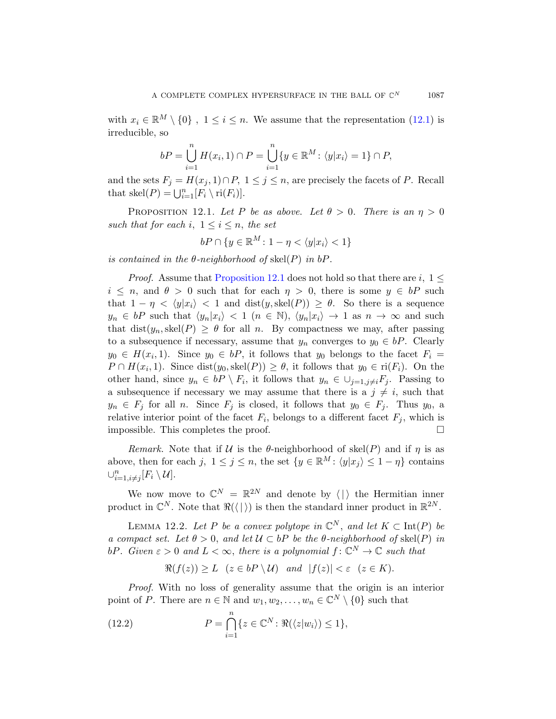<span id="page-20-0"></span>with  $x_i \in \mathbb{R}^M \setminus \{0\}$ ,  $1 \leq i \leq n$ . We assume that the representation (12.1) is irreducible, so

$$
bP = \bigcup_{i=1}^{n} H(x_i, 1) \cap P = \bigcup_{i=1}^{n} \{y \in \mathbb{R}^M : \langle y | x_i \rangle = 1\} \cap P,
$$

and the sets  $F_j = H(x_j, 1) \cap P$ ,  $1 \leq j \leq n$ , are precisely the facets of P. Recall that  $\text{skel}(P) = \bigcup_{i=1}^{n} [F_i \setminus \text{ri}(F_i)].$ 

PROPOSITION 12.1. Let P be as above. Let  $\theta > 0$ . There is an  $\eta > 0$ such that for each i,  $1 \leq i \leq n$ , the set

$$
bP \cap \{y \in \mathbb{R}^M \colon 1 - \eta < \langle y|x_i \rangle < 1\}
$$

is contained in the  $\theta$ -neighborhood of skel(P) in  $bP$ .

*Proof.* Assume that Proposition 12.1 does not hold so that there are i,  $1 \leq$  $i \leq n$ , and  $\theta > 0$  such that for each  $\eta > 0$ , there is some  $y \in bP$  such that  $1 - \eta < \langle y|x_i \rangle < 1$  and  $dist(y, skel(P)) \geq \theta$ . So there is a sequence  $y_n \in bP$  such that  $\langle y_n | x_i \rangle < 1$   $(n \in \mathbb{N})$ ,  $\langle y_n | x_i \rangle \rightarrow 1$  as  $n \rightarrow \infty$  and such that  $dist(y_n, skel(P) \geq \theta$  for all n. By compactness we may, after passing to a subsequence if necessary, assume that  $y_n$  converges to  $y_0 \in bP$ . Clearly  $y_0 \in H(x_i, 1)$ . Since  $y_0 \in bP$ , it follows that  $y_0$  belongs to the facet  $F_i =$  $P \cap H(x_i,1)$ . Since  $dist(y_0, skel(P)) \ge \theta$ , it follows that  $y_0 \in ri(F_i)$ . On the other hand, since  $y_n \in bP \setminus F_i$ , it follows that  $y_n \in \bigcup_{j=1,j\neq i} F_j$ . Passing to a subsequence if necessary we may assume that there is a  $j \neq i$ , such that  $y_n \in F_j$  for all n. Since  $F_j$  is closed, it follows that  $y_0 \in F_j$ . Thus  $y_0$ , a relative interior point of the facet  $F_i$ , belongs to a different facet  $F_j$ , which is impossible. This completes the proof.

Remark. Note that if U is the  $\theta$ -neighborhood of skel(P) and if  $\eta$  is as above, then for each j,  $1 \leq j \leq n$ , the set  $\{y \in \mathbb{R}^M : \langle y|x_j \rangle \leq 1 - \eta\}$  contains  $\cup_{i=1,i\neq j}^n [F_i \setminus \mathcal{U}].$ 

We now move to  $\mathbb{C}^N = \mathbb{R}^{2N}$  and denote by  $\langle \cdot | \cdot \rangle$  the Hermitian inner product in  $\mathbb{C}^N$ . Note that  $\Re(\langle \cdot | \cdot \rangle)$  is then the standard inner product in  $\mathbb{R}^{2N}$ .

LEMMA 12.2. Let P be a convex polytope in  $\mathbb{C}^N$ , and let  $K \subset \text{Int}(P)$  be a compact set. Let  $\theta > 0$ , and let  $\mathcal{U} \subset bP$  be the  $\theta$ -neighborhood of skel(P) in bP. Given  $\varepsilon > 0$  and  $L < \infty$ , there is a polynomial  $f: \mathbb{C}^N \to \mathbb{C}$  such that

$$
\Re(f(z)) \ge L \quad (z \in bP \setminus U) \quad and \quad |f(z)| < \varepsilon \quad (z \in K).
$$

Proof. With no loss of generality assume that the origin is an interior point of P. There are  $n \in \mathbb{N}$  and  $w_1, w_2, \ldots, w_n \in \mathbb{C}^N \setminus \{0\}$  such that

(12.2) 
$$
P = \bigcap_{i=1}^{n} \{z \in \mathbb{C}^{N} : \Re(\langle z|w_{i} \rangle) \leq 1\},
$$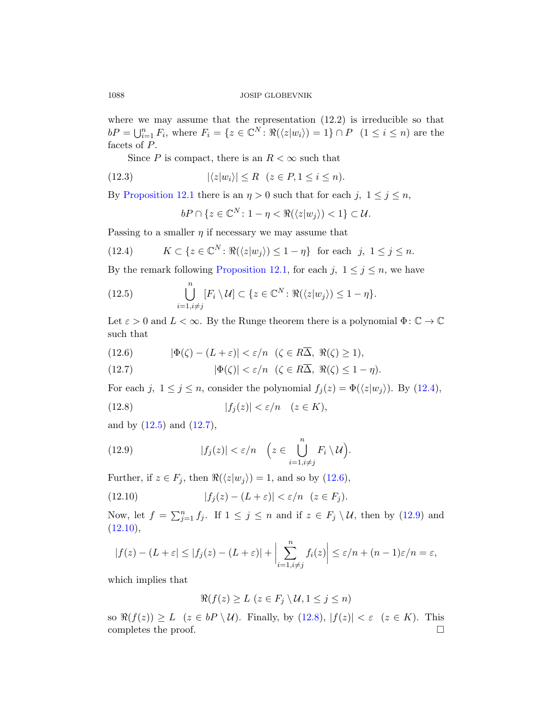where we may assume that the representation (12.2) is irreducible so that  $bP = \bigcup_{i=1}^n F_i$ , where  $F_i = \{z \in \mathbb{C}^N \colon \Re(\langle z|w_i \rangle) = 1\} \cap P$   $(1 \le i \le n)$  are the facets of P.

Since  $P$  is compact, there is an  $R < \infty$  such that

$$
(12.3) \qquad |\langle z|w_i\rangle| \le R \quad (z \in P, 1 \le i \le n).
$$

By [Proposition 12.](#page-20-0)1 there is an  $\eta > 0$  such that for each j,  $1 \leq j \leq n$ ,

$$
bP \cap \{z \in \mathbb{C}^N \colon 1 - \eta < \Re(\langle z|w_j \rangle) < 1\} \subset \mathcal{U}.
$$

Passing to a smaller  $\eta$  if necessary we may assume that

(12.4) 
$$
K \subset \{z \in \mathbb{C}^N \colon \Re(\langle z|w_j \rangle) \le 1 - \eta\} \text{ for each } j, 1 \le j \le n.
$$

<span id="page-21-1"></span>By the remark following Proposition 12.1, for each j,  $1 \le j \le n$ , we have

<span id="page-21-0"></span>(12.5) 
$$
\bigcup_{i=1, i\neq j}^{n} [F_i \setminus \mathcal{U}] \subset \{z \in \mathbb{C}^N : \Re(\langle z|w_j \rangle) \leq 1 - \eta\}.
$$

Let  $\varepsilon > 0$  and  $L < \infty$ . By the Runge theorem there is a polynomial  $\Phi : \mathbb{C} \to \mathbb{C}$ such that

[\(](#page-21-0)12.6)  $|\Phi(\zeta) - (L + \varepsilon)| < \varepsilon/n \quad (\zeta \in R\overline{\Delta}, \Re(\zeta) \ge 1),$ 

<span id="page-21-2"></span>(12.7) 
$$
|\Phi(\zeta)| < \varepsilon/n \quad (\zeta \in R\overline{\Delta}, \ \Re(\zeta) \le 1 - \eta).
$$

For each j,  $1 \leq j \leq n$ , consider the polynomial  $f_j(z) = \Phi(\langle z|w_j \rangle)$ . By (12.4),

(12.8) 
$$
|f_j(z)| < \varepsilon/n \quad (z \in K),
$$

and by  $(12.5)$  and  $(12.7)$ ,

(12.9) 
$$
|f_j(z)| < \varepsilon/n \quad \left(z \in \bigcup_{i=1, i \neq j}^n F_i \setminus \mathcal{U}\right).
$$

Further, if  $z \in F_j$ , then  $\Re(\langle z|w_j \rangle) = 1$ , and so by (12.6),

(12.10) 
$$
|f_j(z) - (L + \varepsilon)| < \varepsilon/n \quad (z \in F_j).
$$

Now, let  $f = \sum_{j=1}^n f_j$ . If  $1 \le j \le n$  and if  $z \in F_j \setminus \mathcal{U}$ , then by (12.9) and  $(12.10),$ 

$$
|f(z) - (L + \varepsilon) \le |f_j(z) - (L + \varepsilon)| + \left| \sum_{i=1, i \ne j}^n f_i(z) \right| \le \varepsilon/n + (n-1)\varepsilon/n = \varepsilon,
$$

which implies that

$$
\Re(f(z) \ge L \ (z \in F_j \setminus \mathcal{U}, 1 \le j \le n)
$$

so  $\Re(f(z)) \geq L$  ( $z \in bP \setminus U$ ). Finally, by (12.8),  $|f(z)| < \varepsilon$  ( $z \in K$ ). This completes the proof.  $\Box$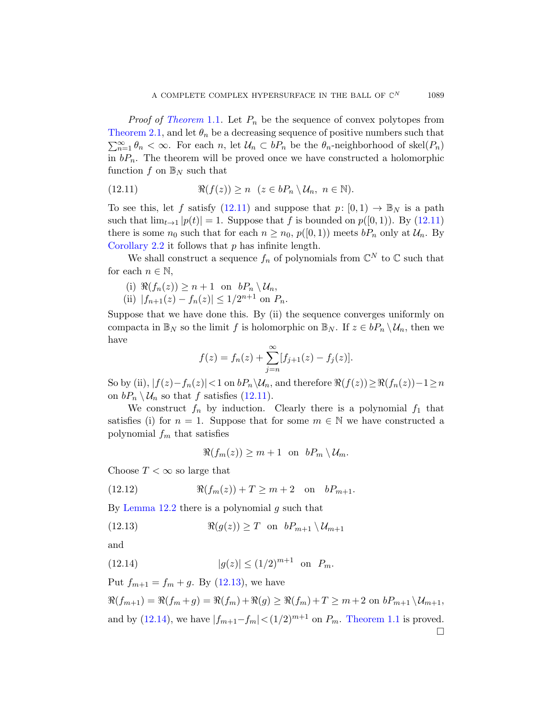<span id="page-22-0"></span>*Proof of Theorem* 1.1. Let  $P_n$  be the sequence of convex polytopes from Th[eorem](#page-22-0) 2.1, and let  $\theta_n$  be a decreasing sequence of positive numbers such that  $\sum_{n=1}^{\infty} \theta_n < \infty$ . For each n, let  $\mathcal{U}_n \subset bP_n$  be the  $\theta_n$ [-ne](#page-22-0)ighborhood of skel $(P_n)$ in  $bP_n$ . The theorem will be proved once we have constructed a holomorphic function f on  $\mathbb{B}_N$  such that

(12.11) 
$$
\Re(f(z)) \ge n \quad (z \in bP_n \setminus \mathcal{U}_n, \ n \in \mathbb{N}).
$$

To see this, let f satisfy  $(12.11)$  and suppose that  $p: [0, 1) \to \mathbb{B}_N$  is a path such that  $\lim_{t\to 1} |p(t)| = 1$ . Suppose that f is bounded on  $p([0, 1))$ . By (12.11) there is some  $n_0$  such that for each  $n \geq n_0$ ,  $p([0, 1))$  meets  $bP_n$  only at  $\mathcal{U}_n$ . By Corollary 2.2 it follows that  $p$  has infinite length.

We shall construct a sequence  $f_n$  of polynomials from  $\mathbb{C}^N$  to  $\mathbb C$  such that for each  $n \in \mathbb{N}$ ,

- (i)  $\Re(f_n(z)) \geq n+1$  on  $bP_n \setminus \mathcal{U}_n$ ,
- (ii)  $|f_{n+1}(z) f_n(z)| \leq 1/2^{n+1}$  on  $P_n$ .

Suppose [that](#page-22-0) we have done this. By (ii) the sequence converges uniformly on compacta in  $\mathbb{B}_N$  so the limit f is holomorphic on  $\mathbb{B}_N$ . If  $z \in bP_n \setminus \mathcal{U}_n$ , then we have

$$
f(z) = f_n(z) + \sum_{j=n}^{\infty} [f_{j+1}(z) - f_j(z)].
$$

So by (ii),  $|f(z)-f_n(z)| < 1$  on  $bP_n\setminus\mathcal{U}_n$ , and therefore  $\Re(f(z)) \geq \Re(f_n(z)) - 1 \geq n$ on  $bP_n \setminus \mathcal{U}_n$  so that f satisfies (12.11).

We construct  $f_n$  by induction. Clearly there is a polynomial  $f_1$  that satisfies (i) for  $n = 1$ . Suppose that for some  $m \in \mathbb{N}$  we have constructed a polynomial  $f_m$  that satisfies

$$
\Re(f_m(z)) \geq m+1 \text{ on } bP_m \setminus \mathcal{U}_m.
$$

<span id="page-22-1"></span>Choose  $T < \infty$  so large that

(12.12) 
$$
\Re(f_m(z)) + T \ge m + 2
$$
 on  $bP_{m+1}$ .

By [Lem](#page-22-1)ma  $12.2$  there is a polynomial g such that

$$
(12.13) \t\t \Re(g(z)) \ge T \text{ on } bP_{m+1} \setminus \mathcal{U}_{m+1}
$$

and

(12.14) 
$$
|g(z)| \le (1/2)^{m+1}
$$
 on  $P_m$ .

Put  $f_{m+1} = f_m + g$ . By (12.13), we have

 $\Re(f_{m+1}) = \Re(f_m + g) = \Re(f_m) + \Re(g) \geq \Re(f_m) + T \geq m + 2 \text{ on } bP_{m+1} \setminus \mathcal{U}_{m+1},$ and by (12.14), we have  $|f_{m+1}-f_m| < (1/2)^{m+1}$  on  $P_m$ . Theorem 1.1 is proved.  $\Box$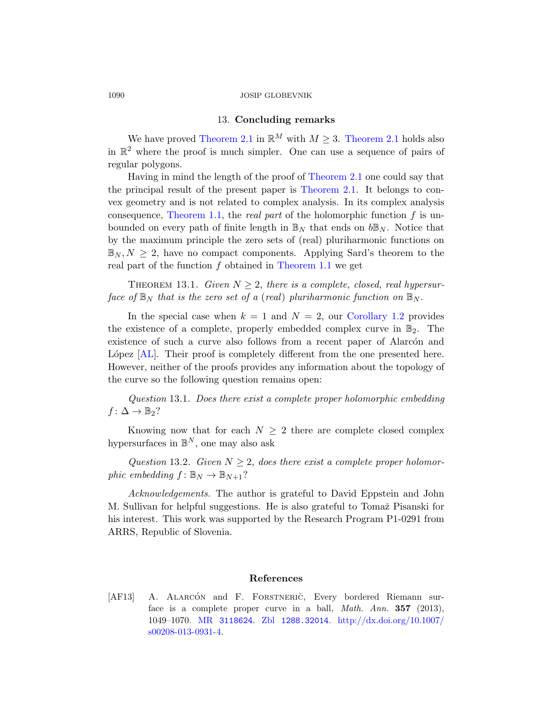# 13. [Conc](#page-2-0)luding remarks

We have proved Theorem 2.1 in  $\mathbb{R}^M$  with  $M \geq 3$ . Theorem 2.1 holds also in  $\mathbb{R}^2$  where the proof is much simpler. One can use a sequence of pairs of regular polygons.

Having in mind the length of the proof of Theorem 2.1 one could say that the principal re[sult of the pr](#page-1-0)esent paper is Theorem 2.1. It belongs to convex geometry and is not related to complex analysis. In its complex analysis consequence, Theorem 1.1, the *real part* of the holomorphic function  $f$  is unbounded on every path of finite length in  $\mathbb{B}_N$  that ends on  $b\mathbb{B}_N$ . Notice that by the maximum principle the [zero sets of \(r](#page-1-1)eal) pluriharmonic functions on  $\mathbb{B}_N, N \geq 2$ , have no compact components. Applying Sard's theorem to the real part of the function f obtained in Theorem 1.1 we get

THEOREM 13.1. Given  $N \geq 2$ , there is a complete, closed, real hypersurface of  $\mathbb{B}_N$  that is the zero set of a (real) pluriharmonic function on  $\mathbb{B}_N$ .

In the special case when  $k = 1$  and  $N = 2$ , our Corollary 1.2 provides the existence of a complete, properly embedded complex curve in  $\mathbb{B}_2$ . The existence of such a curve also follows from a recent paper of Alarcón and López  $[AL]$ . Their proof is completely different from the one presented here. However, neither of the proofs provides any information about the topology of the curve so the following question remains open:

Question 13.1. Does there exist a complete proper holomorphic embedding  $f: \Delta \to \mathbb{B}_2?$ 

Knowing now that for each  $N \geq 2$  there are complete closed complex hypersurfaces in  $\mathbb{B}^N$ , one may also ask

Question 13.2. Given  $N \geq 2$ , does there exist a complete proper holomorphic embedding  $f: \mathbb{B}_N \to \mathbb{B}_{N+1}$ ?

<span id="page-23-0"></span>Acknowledgements. The author is grateful to David Eppstein and John M. Sullivan for helpful suggestions. He is also grateful to Tomaž Pisanski for his interest. This work was supported by the Research Program P1-0291 from [ARRS, Rep](http://www.ams.org/mathscinet-getitem?mr=3118624)[ublic of Slovenia.](http://www.zentralblatt-math.org/zmath/en/search/?q=an:1288.32014)

# References

[AF13] A. ALARCÓN and F. FORSTNERIC̆, Every bordered Riemann surface is a complete proper curve in a ball, *Math. Ann.* **357** (2013), 1049–1070. MR 3118624. Zbl 1288.32014. http://dx.doi.org/10.1007/ s00208-013-0931-4.